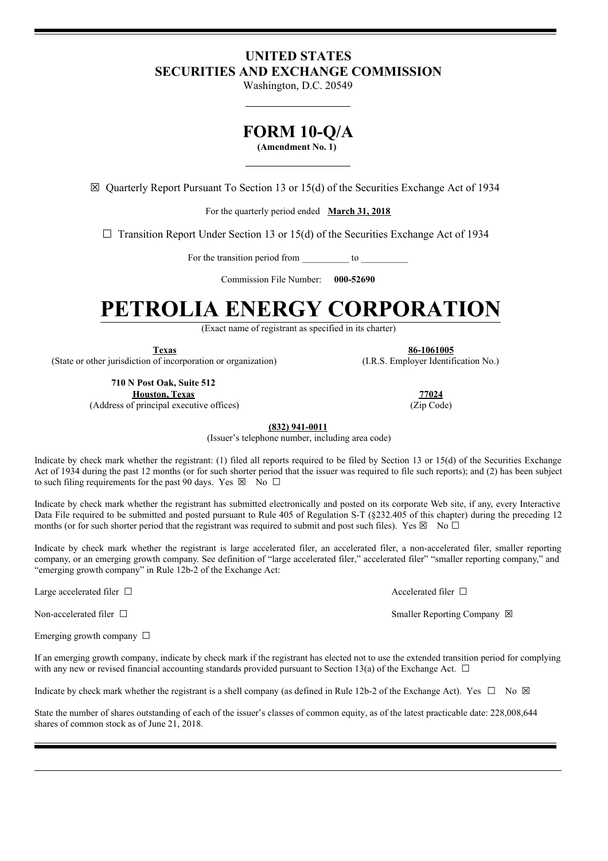## **UNITED STATES SECURITIES AND EXCHANGE COMMISSION**

Washington, D.C. 20549

# **FORM 10-Q/A**

**(Amendment No. 1)**

 $\boxtimes$  Quarterly Report Pursuant To Section 13 or 15(d) of the Securities Exchange Act of 1934

For the quarterly period ended **March 31, 2018**

 $\Box$  Transition Report Under Section 13 or 15(d) of the Securities Exchange Act of 1934

For the transition period from \_\_\_\_\_\_\_\_\_\_ to \_\_\_\_\_\_\_\_\_\_

Commission File Number: **000-52690**

# **PETROLIA ENERGY CORPORATION**

(Exact name of registrant as specified in its charter)

(State or other jurisdiction of incorporation or organization) (I.R.S. Employer Identification No.)

**710 N Post Oak, Suite 512 Houston, Texas 77024** (Address of principal executive offices) (Zip Code)

**Texas 86-1061005**

**(832) 941-0011**

(Issuer's telephone number, including area code)

Indicate by check mark whether the registrant: (1) filed all reports required to be filed by Section 13 or 15(d) of the Securities Exchange Act of 1934 during the past 12 months (or for such shorter period that the issuer was required to file such reports); and (2) has been subject to such filing requirements for the past 90 days. Yes  $\boxtimes$  No  $\Box$ 

Indicate by check mark whether the registrant has submitted electronically and posted on its corporate Web site, if any, every Interactive Data File required to be submitted and posted pursuant to Rule 405 of Regulation S-T (§232.405 of this chapter) during the preceding 12 months (or for such shorter period that the registrant was required to submit and post such files). Yes  $\boxtimes$  No  $\Box$ 

Indicate by check mark whether the registrant is large accelerated filer, an accelerated filer, a non-accelerated filer, smaller reporting company, or an emerging growth company. See definition of "large accelerated filer," accelerated filer" "smaller reporting company," and "emerging growth company" in Rule 12b-2 of the Exchange Act:

Large accelerated filer □ accelerated filer □ accelerated filer □ accelerated filer □

Emerging growth company  $\Box$ 

If an emerging growth company, indicate by check mark if the registrant has elected not to use the extended transition period for complying with any new or revised financial accounting standards provided pursuant to Section 13(a) of the Exchange Act.  $\Box$ 

Indicate by check mark whether the registrant is a shell company (as defined in Rule 12b-2 of the Exchange Act). Yes  $\Box$  No  $\boxtimes$ 

State the number of shares outstanding of each of the issuer's classes of common equity, as of the latest practicable date: 228,008,644 shares of common stock as of June 21, 2018.

Non-accelerated filer □ state of the state of the Smaller Reporting Company ⊠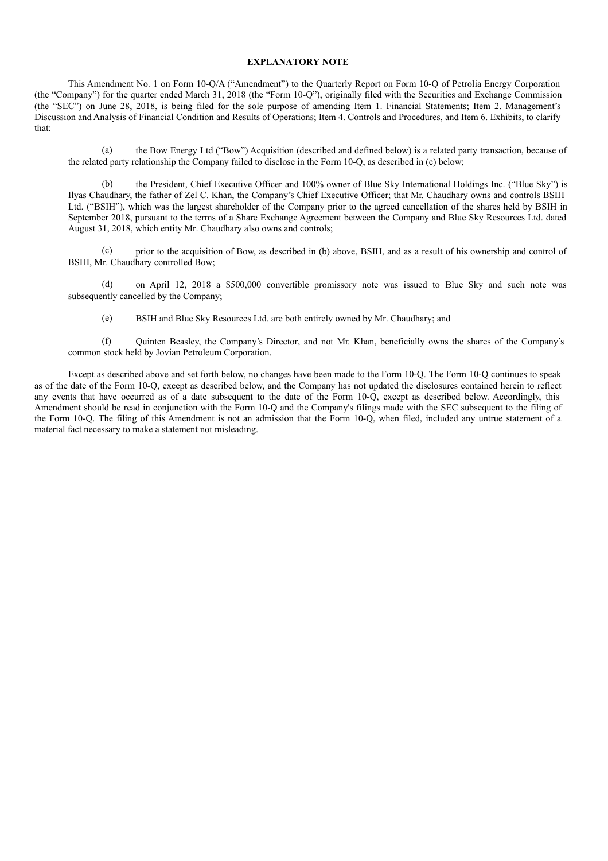## **EXPLANATORY NOTE**

This Amendment No. 1 on Form 10-Q/A ("Amendment") to the Quarterly Report on Form 10-Q of Petrolia Energy Corporation (the "Company") for the quarter ended March 31, 2018 (the "Form 10-Q"), originally filed with the Securities and Exchange Commission (the "SEC") on June 28, 2018, is being filed for the sole purpose of amending Item 1. Financial Statements; Item 2. Management's Discussion and Analysis of Financial Condition and Results of Operations; Item 4. Controls and Procedures, and Item 6. Exhibits, to clarify that:

(a) the Bow Energy Ltd ("Bow") Acquisition (described and defined below) is a related party transaction, because of the related party relationship the Company failed to disclose in the Form 10-Q, as described in (c) below;

(b) the President, Chief Executive Officer and 100% owner of Blue Sky International Holdings Inc. ("Blue Sky") is Ilyas Chaudhary, the father of Zel C. Khan, the Company's Chief Executive Officer; that Mr. Chaudhary owns and controls BSIH Ltd. ("BSIH"), which was the largest shareholder of the Company prior to the agreed cancellation of the shares held by BSIH in September 2018, pursuant to the terms of a Share Exchange Agreement between the Company and Blue Sky Resources Ltd. dated August 31, 2018, which entity Mr. Chaudhary also owns and controls;

(c) prior to the acquisition of Bow, as described in (b) above, BSIH, and as a result of his ownership and control of BSIH, Mr. Chaudhary controlled Bow;

(d) on April 12, 2018 a \$500,000 convertible promissory note was issued to Blue Sky and such note was subsequently cancelled by the Company;

(e) BSIH and Blue Sky Resources Ltd. are both entirely owned by Mr. Chaudhary; and

(f) Quinten Beasley, the Company's Director, and not Mr. Khan, beneficially owns the shares of the Company's common stock held by Jovian Petroleum Corporation.

Except as described above and set forth below, no changes have been made to the Form 10-Q. The Form 10-Q continues to speak as of the date of the Form 10-Q, except as described below, and the Company has not updated the disclosures contained herein to reflect any events that have occurred as of a date subsequent to the date of the Form 10-Q, except as described below. Accordingly, this Amendment should be read in conjunction with the Form 10-Q and the Company's filings made with the SEC subsequent to the filing of the Form 10-Q. The filing of this Amendment is not an admission that the Form 10-Q, when filed, included any untrue statement of a material fact necessary to make a statement not misleading.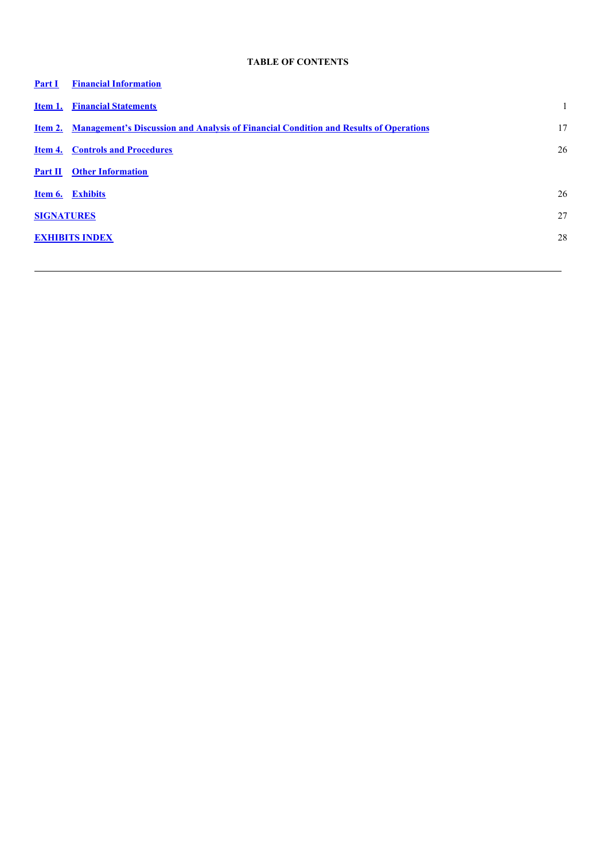## **TABLE OF CONTENTS**

| Part I            | <b>Financial Information</b>                                                                 |    |
|-------------------|----------------------------------------------------------------------------------------------|----|
| Item 1.           | <b>Financial Statements</b>                                                                  |    |
| Item 2.           | <b>Management's Discussion and Analysis of Financial Condition and Results of Operations</b> | 17 |
| Item 4.           | <b>Controls and Procedures</b>                                                               | 26 |
| <b>Part II</b>    | <b>Other Information</b>                                                                     |    |
|                   | Item 6. Exhibits                                                                             | 26 |
| <b>SIGNATURES</b> |                                                                                              | 27 |
|                   | <b>EXHIBITS INDEX</b>                                                                        | 28 |
|                   |                                                                                              |    |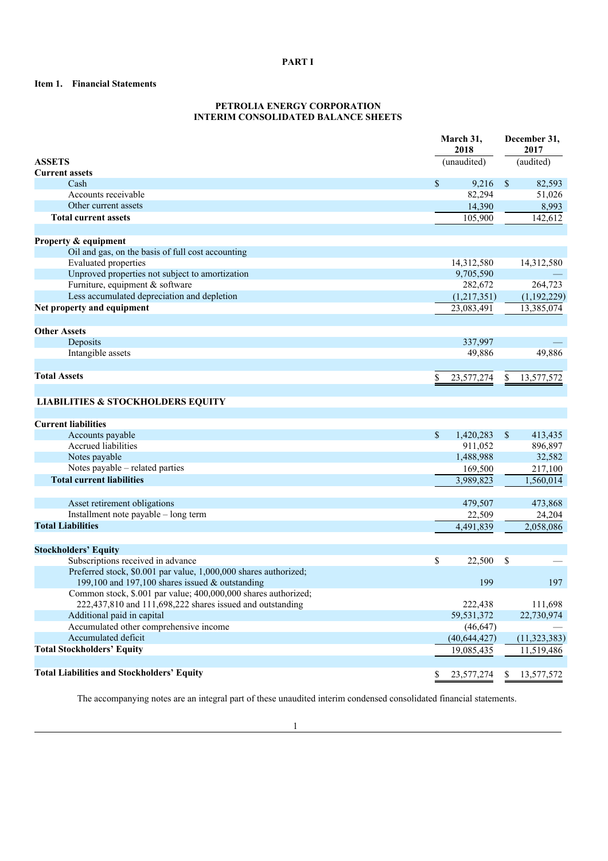## **PART I**

## **Item 1. Financial Statements**

## **PETROLIA ENERGY CORPORATION INTERIM CONSOLIDATED BALANCE SHEETS**

|                                                                  | March 31,<br>2018 |          | December 31,<br>2017 |  |
|------------------------------------------------------------------|-------------------|----------|----------------------|--|
| <b>ASSETS</b>                                                    | (unaudited)       |          | (audited)            |  |
| <b>Current assets</b>                                            |                   |          |                      |  |
| Cash                                                             | \$<br>9,216       | \$       | 82,593               |  |
| Accounts receivable                                              | 82,294            |          | 51,026               |  |
| Other current assets                                             | 14,390            |          | 8,993                |  |
| <b>Total current assets</b>                                      | 105,900           |          | 142,612              |  |
|                                                                  |                   |          |                      |  |
| Property & equipment                                             |                   |          |                      |  |
| Oil and gas, on the basis of full cost accounting                |                   |          |                      |  |
| <b>Evaluated properties</b>                                      | 14,312,580        |          | 14,312,580           |  |
| Unproved properties not subject to amortization                  | 9,705,590         |          |                      |  |
| Furniture, equipment & software                                  | 282,672           |          | 264,723              |  |
| Less accumulated depreciation and depletion                      | (1,217,351)       |          | (1,192,229)          |  |
| Net property and equipment                                       | 23,083,491        |          | 13,385,074           |  |
| <b>Other Assets</b>                                              |                   |          |                      |  |
| Deposits                                                         | 337,997           |          |                      |  |
| Intangible assets                                                | 49,886            |          | 49,886               |  |
|                                                                  |                   |          |                      |  |
| <b>Total Assets</b>                                              | \$<br>23,577,274  | \$       | 13,577,572           |  |
|                                                                  |                   |          |                      |  |
| <b>LIABILITIES &amp; STOCKHOLDERS EQUITY</b>                     |                   |          |                      |  |
| <b>Current liabilities</b>                                       |                   |          |                      |  |
| Accounts payable                                                 | \$<br>1,420,283   | \$       | 413,435              |  |
| Accrued liabilities                                              | 911,052           |          | 896,897              |  |
| Notes payable                                                    | 1,488,988         |          | 32,582               |  |
| Notes payable - related parties                                  | 169,500           |          | 217,100              |  |
| <b>Total current liabilities</b>                                 | 3,989,823         |          | 1,560,014            |  |
|                                                                  |                   |          |                      |  |
| Asset retirement obligations                                     | 479,507           |          | 473,868              |  |
| Installment note payable - long term                             | 22,509            |          | 24,204               |  |
| <b>Total Liabilities</b>                                         | 4,491,839         |          | 2,058,086            |  |
| <b>Stockholders' Equity</b>                                      |                   |          |                      |  |
| Subscriptions received in advance                                | \$<br>22,500      | \$       |                      |  |
| Preferred stock, \$0.001 par value, 1,000,000 shares authorized; |                   |          |                      |  |
| 199,100 and 197,100 shares issued $&$ outstanding                | 199               |          | 197                  |  |
| Common stock, \$.001 par value; 400,000,000 shares authorized;   |                   |          |                      |  |
| 222,437,810 and 111,698,222 shares issued and outstanding        | 222,438           |          | 111,698              |  |
| Additional paid in capital                                       | 59,531,372        |          | 22,730,974           |  |
| Accumulated other comprehensive income                           | (46, 647)         |          |                      |  |
| Accumulated deficit                                              | (40, 644, 427)    |          | (11, 323, 383)       |  |
| <b>Total Stockholders' Equity</b>                                | 19,085,435        |          | 11,519,486           |  |
|                                                                  |                   |          |                      |  |
| <b>Total Liabilities and Stockholders' Equity</b>                | \$<br>23,577,274  | <b>S</b> | 13,577,572           |  |

The accompanying notes are an integral part of these unaudited interim condensed consolidated financial statements.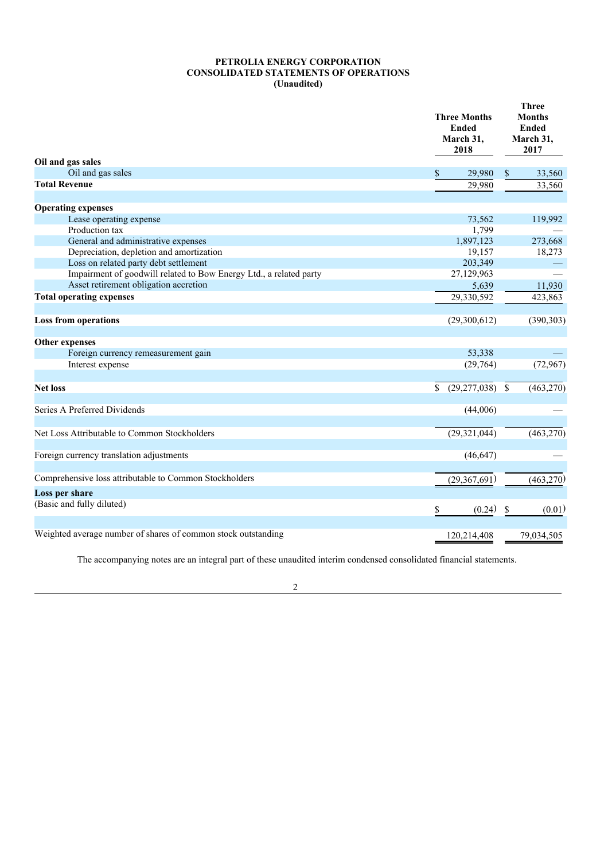## **PETROLIA ENERGY CORPORATION CONSOLIDATED STATEMENTS OF OPERATIONS (Unaudited)**

|                                                                    | <b>Three Months</b><br><b>Ended</b><br>March 31,<br>2018 | <b>Three</b><br><b>Months</b><br><b>Ended</b><br>March 31,<br>2017 |
|--------------------------------------------------------------------|----------------------------------------------------------|--------------------------------------------------------------------|
| Oil and gas sales                                                  |                                                          |                                                                    |
| Oil and gas sales                                                  | \$<br>29,980                                             | \$<br>33,560                                                       |
| <b>Total Revenue</b>                                               | 29,980                                                   | 33,560                                                             |
| <b>Operating expenses</b>                                          |                                                          |                                                                    |
| Lease operating expense                                            | 73,562                                                   | 119,992                                                            |
| Production tax                                                     | 1,799                                                    |                                                                    |
| General and administrative expenses                                | 1,897,123                                                | 273,668                                                            |
| Depreciation, depletion and amortization                           | 19,157                                                   | 18,273                                                             |
| Loss on related party debt settlement                              | 203,349                                                  |                                                                    |
| Impairment of goodwill related to Bow Energy Ltd., a related party | 27,129,963                                               |                                                                    |
| Asset retirement obligation accretion                              | 5,639                                                    | 11,930                                                             |
| <b>Total operating expenses</b>                                    | 29,330,592                                               | 423,863                                                            |
| <b>Loss from operations</b>                                        | (29,300,612)                                             | (390, 303)                                                         |
| <b>Other expenses</b>                                              |                                                          |                                                                    |
| Foreign currency remeasurement gain                                | 53,338                                                   |                                                                    |
| Interest expense                                                   | (29,764)                                                 | (72, 967)                                                          |
|                                                                    |                                                          |                                                                    |
| <b>Net loss</b>                                                    | $(29,277,038)$ \$<br>$\mathbb{S}$                        | (463, 270)                                                         |
| Series A Preferred Dividends                                       | (44,006)                                                 |                                                                    |
| Net Loss Attributable to Common Stockholders                       | (29, 321, 044)                                           | (463, 270)                                                         |
| Foreign currency translation adjustments                           | (46, 647)                                                |                                                                    |
| Comprehensive loss attributable to Common Stockholders             | (29,367,691)                                             | (463,270)                                                          |
|                                                                    |                                                          |                                                                    |
| Loss per share                                                     |                                                          |                                                                    |
| (Basic and fully diluted)                                          | (0.24)<br>\$                                             | (0.01)<br>\$                                                       |
| Weighted average number of shares of common stock outstanding      | 120,214,408                                              | 79,034,505                                                         |

The accompanying notes are an integral part of these unaudited interim condensed consolidated financial statements.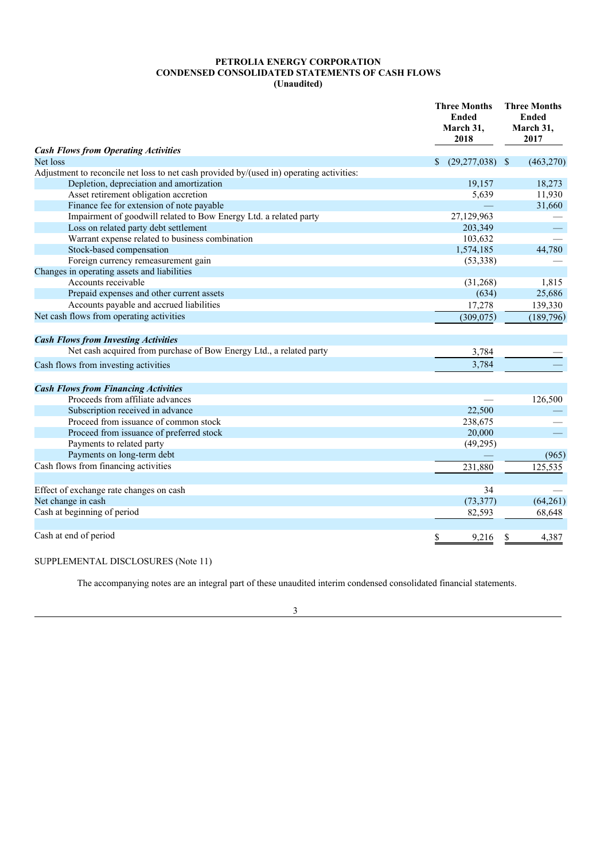## **PETROLIA ENERGY CORPORATION CONDENSED CONSOLIDATED STATEMENTS OF CASH FLOWS (Unaudited)**

|                                                                                          | <b>Three Months</b><br><b>Ended</b><br>March 31,<br>2018 | <b>Three Months</b><br><b>Ended</b><br>March 31,<br>2017 |
|------------------------------------------------------------------------------------------|----------------------------------------------------------|----------------------------------------------------------|
| <b>Cash Flows from Operating Activities</b>                                              |                                                          |                                                          |
| Net loss                                                                                 | $(29,277,038)$ \$<br>S                                   | (463,270)                                                |
| Adjustment to reconcile net loss to net cash provided by/(used in) operating activities: |                                                          |                                                          |
| Depletion, depreciation and amortization                                                 | 19,157                                                   | 18,273                                                   |
| Asset retirement obligation accretion                                                    | 5,639                                                    | 11,930                                                   |
| Finance fee for extension of note payable                                                |                                                          | 31,660                                                   |
| Impairment of goodwill related to Bow Energy Ltd. a related party                        | 27,129,963                                               |                                                          |
| Loss on related party debt settlement                                                    | 203,349                                                  |                                                          |
| Warrant expense related to business combination                                          | 103,632                                                  |                                                          |
| Stock-based compensation                                                                 | 1,574,185                                                | 44,780                                                   |
| Foreign currency remeasurement gain                                                      | (53, 338)                                                |                                                          |
| Changes in operating assets and liabilities                                              |                                                          |                                                          |
| Accounts receivable                                                                      | (31,268)                                                 | 1,815                                                    |
| Prepaid expenses and other current assets                                                | (634)                                                    | 25,686                                                   |
| Accounts payable and accrued liabilities                                                 | 17,278                                                   | 139,330                                                  |
| Net cash flows from operating activities                                                 | (309, 075)                                               | (189, 796)                                               |
| <b>Cash Flows from Investing Activities</b>                                              |                                                          |                                                          |
| Net cash acquired from purchase of Bow Energy Ltd., a related party                      | 3,784                                                    |                                                          |
| Cash flows from investing activities                                                     | 3,784                                                    |                                                          |
|                                                                                          |                                                          |                                                          |
| <b>Cash Flows from Financing Activities</b>                                              |                                                          |                                                          |
| Proceeds from affiliate advances                                                         |                                                          | 126,500                                                  |
| Subscription received in advance                                                         | 22,500                                                   |                                                          |
| Proceed from issuance of common stock                                                    | 238,675                                                  |                                                          |
| Proceed from issuance of preferred stock                                                 | 20,000                                                   |                                                          |
| Payments to related party                                                                | (49,295)                                                 |                                                          |
| Payments on long-term debt                                                               |                                                          | (965)                                                    |
| Cash flows from financing activities                                                     | 231,880                                                  | 125,535                                                  |
| Effect of exchange rate changes on cash                                                  | 34                                                       |                                                          |
| Net change in cash                                                                       | (73, 377)                                                | (64,261)                                                 |
| Cash at beginning of period                                                              | 82,593                                                   | 68,648                                                   |
|                                                                                          |                                                          |                                                          |
| Cash at end of period                                                                    | 9,216<br>S                                               | 4,387<br>S                                               |

SUPPLEMENTAL DISCLOSURES (Note 11)

The accompanying notes are an integral part of these unaudited interim condensed consolidated financial statements.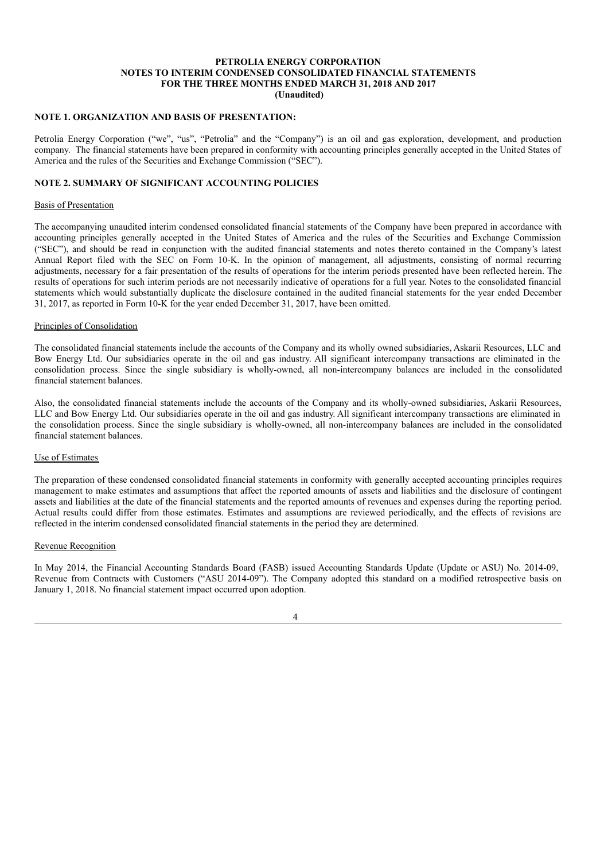## **PETROLIA ENERGY CORPORATION NOTES TO INTERIM CONDENSED CONSOLIDATED FINANCIAL STATEMENTS FOR THE THREE MONTHS ENDED MARCH 31, 2018 AND 2017 (Unaudited)**

## **NOTE 1. ORGANIZATION AND BASIS OF PRESENTATION:**

Petrolia Energy Corporation ("we", "us", "Petrolia" and the "Company") is an oil and gas exploration, development, and production company. The financial statements have been prepared in conformity with accounting principles generally accepted in the United States of America and the rules of the Securities and Exchange Commission ("SEC").

#### **NOTE 2. SUMMARY OF SIGNIFICANT ACCOUNTING POLICIES**

#### Basis of Presentation

The accompanying unaudited interim condensed consolidated financial statements of the Company have been prepared in accordance with accounting principles generally accepted in the United States of America and the rules of the Securities and Exchange Commission ("SEC"), and should be read in conjunction with the audited financial statements and notes thereto contained in the Company's latest Annual Report filed with the SEC on Form 10-K. In the opinion of management, all adjustments, consisting of normal recurring adjustments, necessary for a fair presentation of the results of operations for the interim periods presented have been reflected herein. The results of operations for such interim periods are not necessarily indicative of operations for a full year. Notes to the consolidated financial statements which would substantially duplicate the disclosure contained in the audited financial statements for the year ended December 31, 2017, as reported in Form 10-K for the year ended December 31, 2017, have been omitted.

#### Principles of Consolidation

The consolidated financial statements include the accounts of the Company and its wholly owned subsidiaries, Askarii Resources, LLC and Bow Energy Ltd. Our subsidiaries operate in the oil and gas industry. All significant intercompany transactions are eliminated in the consolidation process. Since the single subsidiary is wholly-owned, all non-intercompany balances are included in the consolidated financial statement balances.

Also, the consolidated financial statements include the accounts of the Company and its wholly-owned subsidiaries, Askarii Resources, LLC and Bow Energy Ltd. Our subsidiaries operate in the oil and gas industry. All significant intercompany transactions are eliminated in the consolidation process. Since the single subsidiary is wholly-owned, all non-intercompany balances are included in the consolidated financial statement balances.

#### Use of Estimates

The preparation of these condensed consolidated financial statements in conformity with generally accepted accounting principles requires management to make estimates and assumptions that affect the reported amounts of assets and liabilities and the disclosure of contingent assets and liabilities at the date of the financial statements and the reported amounts of revenues and expenses during the reporting period. Actual results could differ from those estimates. Estimates and assumptions are reviewed periodically, and the effects of revisions are reflected in the interim condensed consolidated financial statements in the period they are determined.

#### Revenue Recognition

In May 2014, the Financial Accounting Standards Board (FASB) issued Accounting Standards Update (Update or ASU) No. 2014-09, Revenue from Contracts with Customers ("ASU 2014-09"). The Company adopted this standard on a modified retrospective basis on January 1, 2018. No financial statement impact occurred upon adoption.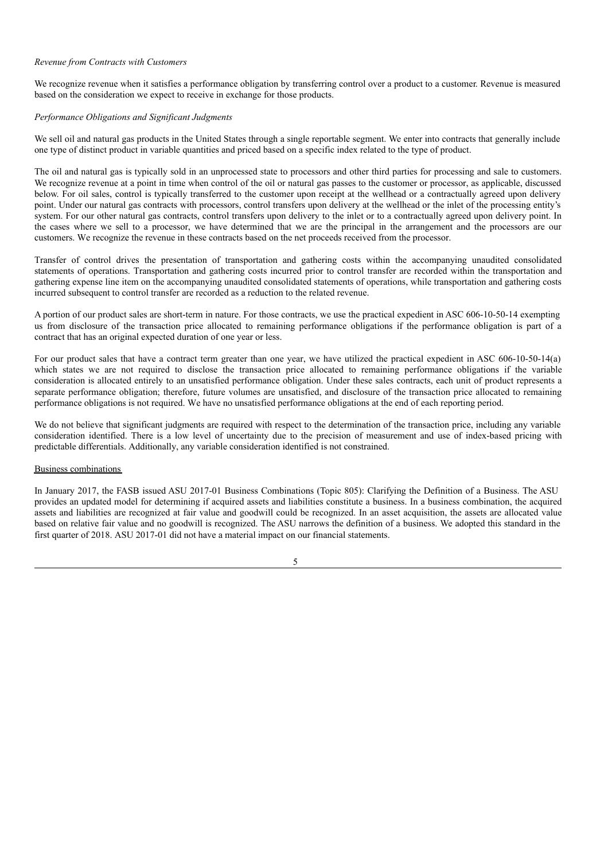#### *Revenue from Contracts with Customers*

We recognize revenue when it satisfies a performance obligation by transferring control over a product to a customer. Revenue is measured based on the consideration we expect to receive in exchange for those products.

### *Performance Obligations and Significant Judgments*

We sell oil and natural gas products in the United States through a single reportable segment. We enter into contracts that generally include one type of distinct product in variable quantities and priced based on a specific index related to the type of product.

The oil and natural gas is typically sold in an unprocessed state to processors and other third parties for processing and sale to customers. We recognize revenue at a point in time when control of the oil or natural gas passes to the customer or processor, as applicable, discussed below. For oil sales, control is typically transferred to the customer upon receipt at the wellhead or a contractually agreed upon delivery point. Under our natural gas contracts with processors, control transfers upon delivery at the wellhead or the inlet of the processing entity's system. For our other natural gas contracts, control transfers upon delivery to the inlet or to a contractually agreed upon delivery point. In the cases where we sell to a processor, we have determined that we are the principal in the arrangement and the processors are our customers. We recognize the revenue in these contracts based on the net proceeds received from the processor.

Transfer of control drives the presentation of transportation and gathering costs within the accompanying unaudited consolidated statements of operations. Transportation and gathering costs incurred prior to control transfer are recorded within the transportation and gathering expense line item on the accompanying unaudited consolidated statements of operations, while transportation and gathering costs incurred subsequent to control transfer are recorded as a reduction to the related revenue.

A portion of our product sales are short-term in nature. For those contracts, we use the practical expedient in ASC 606-10-50-14 exempting us from disclosure of the transaction price allocated to remaining performance obligations if the performance obligation is part of a contract that has an original expected duration of one year or less.

For our product sales that have a contract term greater than one year, we have utilized the practical expedient in ASC 606-10-50-14(a) which states we are not required to disclose the transaction price allocated to remaining performance obligations if the variable consideration is allocated entirely to an unsatisfied performance obligation. Under these sales contracts, each unit of product represents a separate performance obligation; therefore, future volumes are unsatisfied, and disclosure of the transaction price allocated to remaining performance obligations is not required. We have no unsatisfied performance obligations at the end of each reporting period.

We do not believe that significant judgments are required with respect to the determination of the transaction price, including any variable consideration identified. There is a low level of uncertainty due to the precision of measurement and use of index-based pricing with predictable differentials. Additionally, any variable consideration identified is not constrained.

## Business combinations

In January 2017, the FASB issued ASU 2017-01 Business Combinations (Topic 805): Clarifying the Definition of a Business. The ASU provides an updated model for determining if acquired assets and liabilities constitute a business. In a business combination, the acquired assets and liabilities are recognized at fair value and goodwill could be recognized. In an asset acquisition, the assets are allocated value based on relative fair value and no goodwill is recognized. The ASU narrows the definition of a business. We adopted this standard in the first quarter of 2018. ASU 2017-01 did not have a material impact on our financial statements.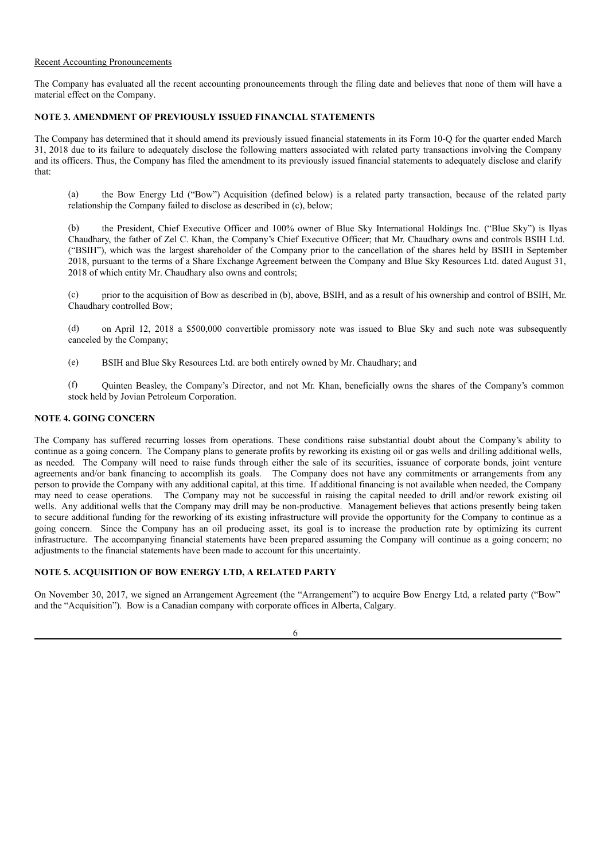#### Recent Accounting Pronouncements

The Company has evaluated all the recent accounting pronouncements through the filing date and believes that none of them will have a material effect on the Company.

## **NOTE 3. AMENDMENT OF PREVIOUSLY ISSUED FINANCIAL STATEMENTS**

The Company has determined that it should amend its previously issued financial statements in its Form 10-Q for the quarter ended March 31, 2018 due to its failure to adequately disclose the following matters associated with related party transactions involving the Company and its officers. Thus, the Company has filed the amendment to its previously issued financial statements to adequately disclose and clarify that:

(a) the Bow Energy Ltd ("Bow") Acquisition (defined below) is a related party transaction, because of the related party relationship the Company failed to disclose as described in (c), below;

(b) the President, Chief Executive Officer and 100% owner of Blue Sky International Holdings Inc. ("Blue Sky") is Ilyas Chaudhary, the father of Zel C. Khan, the Company's Chief Executive Officer; that Mr. Chaudhary owns and controls BSIH Ltd. ("BSIH"), which was the largest shareholder of the Company prior to the cancellation of the shares held by BSIH in September 2018, pursuant to the terms of a Share Exchange Agreement between the Company and Blue Sky Resources Ltd. dated August 31, 2018 of which entity Mr. Chaudhary also owns and controls;

(c) prior to the acquisition of Bow as described in (b), above, BSIH, and as a result of his ownership and control of BSIH, Mr. Chaudhary controlled Bow;

(d) on April 12, 2018 a \$500,000 convertible promissory note was issued to Blue Sky and such note was subsequently canceled by the Company;

(e) BSIH and Blue Sky Resources Ltd. are both entirely owned by Mr. Chaudhary; and

(f) Quinten Beasley, the Company's Director, and not Mr. Khan, beneficially owns the shares of the Company's common stock held by Jovian Petroleum Corporation.

#### **NOTE 4. GOING CONCERN**

The Company has suffered recurring losses from operations. These conditions raise substantial doubt about the Company's ability to continue as a going concern. The Company plans to generate profits by reworking its existing oil or gas wells and drilling additional wells, as needed. The Company will need to raise funds through either the sale of its securities, issuance of corporate bonds, joint venture agreements and/or bank financing to accomplish its goals. The Company does not have any commitments or arrangements from any person to provide the Company with any additional capital, at this time. If additional financing is not available when needed, the Company may need to cease operations. The Company may not be successful in raising the capital needed to drill and/or rework existing oil wells. Any additional wells that the Company may drill may be non-productive. Management believes that actions presently being taken to secure additional funding for the reworking of its existing infrastructure will provide the opportunity for the Company to continue as a going concern. Since the Company has an oil producing asset, its goal is to increase the production rate by optimizing its current infrastructure. The accompanying financial statements have been prepared assuming the Company will continue as a going concern; no adjustments to the financial statements have been made to account for this uncertainty.

## **NOTE 5. ACQUISITION OF BOW ENERGY LTD, A RELATED PARTY**

On November 30, 2017, we signed an Arrangement Agreement (the "Arrangement") to acquire Bow Energy Ltd, a related party ("Bow" and the "Acquisition"). Bow is a Canadian company with corporate offices in Alberta, Calgary.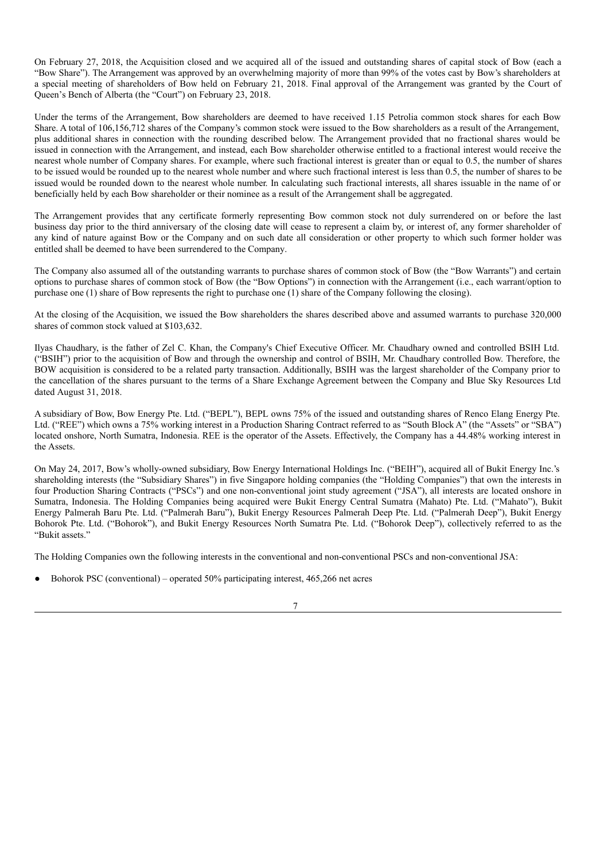On February 27, 2018, the Acquisition closed and we acquired all of the issued and outstanding shares of capital stock of Bow (each a "Bow Share"). The Arrangement was approved by an overwhelming majority of more than 99% of the votes cast by Bow's shareholders at a special meeting of shareholders of Bow held on February 21, 2018. Final approval of the Arrangement was granted by the Court of Queen's Bench of Alberta (the "Court") on February 23, 2018.

Under the terms of the Arrangement, Bow shareholders are deemed to have received 1.15 Petrolia common stock shares for each Bow Share. A total of 106,156,712 shares of the Company's common stock were issued to the Bow shareholders as a result of the Arrangement, plus additional shares in connection with the rounding described below. The Arrangement provided that no fractional shares would be issued in connection with the Arrangement, and instead, each Bow shareholder otherwise entitled to a fractional interest would receive the nearest whole number of Company shares. For example, where such fractional interest is greater than or equal to 0.5, the number of shares to be issued would be rounded up to the nearest whole number and where such fractional interest is less than 0.5, the number of shares to be issued would be rounded down to the nearest whole number. In calculating such fractional interests, all shares issuable in the name of or beneficially held by each Bow shareholder or their nominee as a result of the Arrangement shall be aggregated.

The Arrangement provides that any certificate formerly representing Bow common stock not duly surrendered on or before the last business day prior to the third anniversary of the closing date will cease to represent a claim by, or interest of, any former shareholder of any kind of nature against Bow or the Company and on such date all consideration or other property to which such former holder was entitled shall be deemed to have been surrendered to the Company.

The Company also assumed all of the outstanding warrants to purchase shares of common stock of Bow (the "Bow Warrants") and certain options to purchase shares of common stock of Bow (the "Bow Options") in connection with the Arrangement (i.e., each warrant/option to purchase one (1) share of Bow represents the right to purchase one (1) share of the Company following the closing).

At the closing of the Acquisition, we issued the Bow shareholders the shares described above and assumed warrants to purchase 320,000 shares of common stock valued at \$103,632.

Ilyas Chaudhary, is the father of Zel C. Khan, the Company's Chief Executive Officer. Mr. Chaudhary owned and controlled BSIH Ltd. ("BSIH") prior to the acquisition of Bow and through the ownership and control of BSIH, Mr. Chaudhary controlled Bow. Therefore, the BOW acquisition is considered to be a related party transaction. Additionally, BSIH was the largest shareholder of the Company prior to the cancellation of the shares pursuant to the terms of a Share Exchange Agreement between the Company and Blue Sky Resources Ltd dated August 31, 2018.

A subsidiary of Bow, Bow Energy Pte. Ltd. ("BEPL"), BEPL owns 75% of the issued and outstanding shares of Renco Elang Energy Pte. Ltd. ("REE") which owns a 75% working interest in a Production Sharing Contract referred to as "South Block A" (the "Assets" or "SBA") located onshore, North Sumatra, Indonesia. REE is the operator of the Assets. Effectively, the Company has a 44.48% working interest in the Assets.

On May 24, 2017, Bow's wholly-owned subsidiary, Bow Energy International Holdings Inc. ("BEIH"), acquired all of Bukit Energy Inc.'s shareholding interests (the "Subsidiary Shares") in five Singapore holding companies (the "Holding Companies") that own the interests in four Production Sharing Contracts ("PSCs") and one non-conventional joint study agreement ("JSA"), all interests are located onshore in Sumatra, Indonesia. The Holding Companies being acquired were Bukit Energy Central Sumatra (Mahato) Pte. Ltd. ("Mahato"), Bukit Energy Palmerah Baru Pte. Ltd. ("Palmerah Baru"), Bukit Energy Resources Palmerah Deep Pte. Ltd. ("Palmerah Deep"), Bukit Energy Bohorok Pte. Ltd. ("Bohorok"), and Bukit Energy Resources North Sumatra Pte. Ltd. ("Bohorok Deep"), collectively referred to as the "Bukit assets."

The Holding Companies own the following interests in the conventional and non-conventional PSCs and non-conventional JSA:

Bohorok PSC (conventional) – operated  $50\%$  participating interest,  $465,266$  net acres

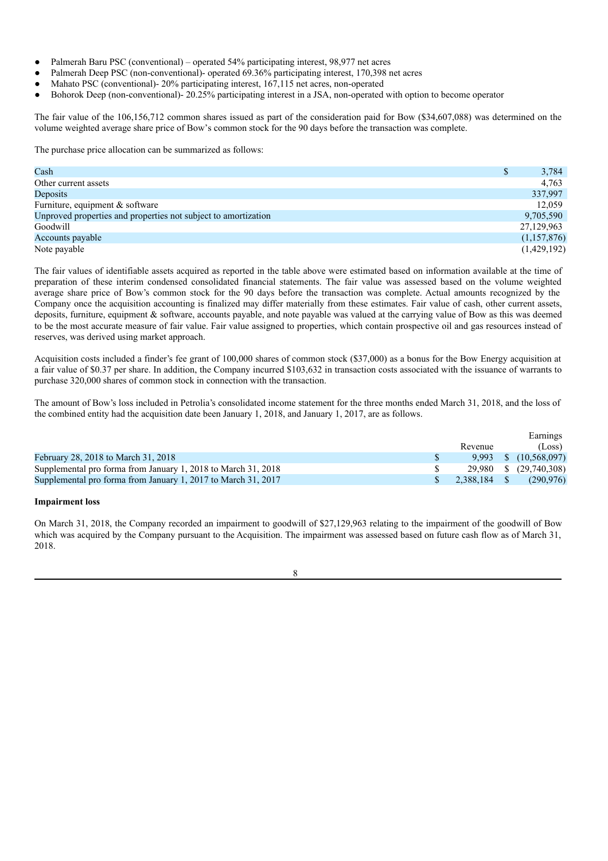- Palmerah Baru PSC (conventional) operated 54% participating interest, 98,977 net acres
- Palmerah Deep PSC (non-conventional)- operated 69.36% participating interest, 170,398 net acres
- Mahato PSC (conventional)- 20% participating interest, 167,115 net acres, non-operated
- Bohorok Deep (non-conventional)- 20.25% participating interest in a JSA, non-operated with option to become operator

The fair value of the 106,156,712 common shares issued as part of the consideration paid for Bow (\$34,607,088) was determined on the volume weighted average share price of Bow's common stock for the 90 days before the transaction was complete.

The purchase price allocation can be summarized as follows:

| Cash                                                           | \$<br>3,784 |
|----------------------------------------------------------------|-------------|
| Other current assets                                           | 4.763       |
| Deposits                                                       | 337,997     |
| Furniture, equipment $&$ software                              | 12.059      |
| Unproved properties and properties not subject to amortization | 9,705,590   |
| Goodwill                                                       | 27,129,963  |
| Accounts payable                                               | (1,157,876) |
| Note payable                                                   | (1,429,192) |

The fair values of identifiable assets acquired as reported in the table above were estimated based on information available at the time of preparation of these interim condensed consolidated financial statements. The fair value was assessed based on the volume weighted average share price of Bow's common stock for the 90 days before the transaction was complete. Actual amounts recognized by the Company once the acquisition accounting is finalized may differ materially from these estimates. Fair value of cash, other current assets, deposits, furniture, equipment & software, accounts payable, and note payable was valued at the carrying value of Bow as this was deemed to be the most accurate measure of fair value. Fair value assigned to properties, which contain prospective oil and gas resources instead of reserves, was derived using market approach.

Acquisition costs included a finder's fee grant of 100,000 shares of common stock (\$37,000) as a bonus for the Bow Energy acquisition at a fair value of \$0.37 per share. In addition, the Company incurred \$103,632 in transaction costs associated with the issuance of warrants to purchase 320,000 shares of common stock in connection with the transaction.

The amount of Bow's loss included in Petrolia's consolidated income statement for the three months ended March 31, 2018, and the loss of the combined entity had the acquisition date been January 1, 2018, and January 1, 2017, are as follows.

|                                                               |              | Earnings               |
|---------------------------------------------------------------|--------------|------------------------|
|                                                               | Revenue      | (Loss)                 |
| February 28, 2018 to March 31, 2018                           |              | 9,993 \$ (10,568,097)  |
| Supplemental pro forma from January 1, 2018 to March 31, 2018 |              | 29,980 \$ (29,740,308) |
| Supplemental pro forma from January 1, 2017 to March 31, 2017 | 2.388.184 \$ | (290, 976)             |

## **Impairment loss**

On March 31, 2018, the Company recorded an impairment to goodwill of \$27,129,963 relating to the impairment of the goodwill of Bow which was acquired by the Company pursuant to the Acquisition. The impairment was assessed based on future cash flow as of March 31, 2018.

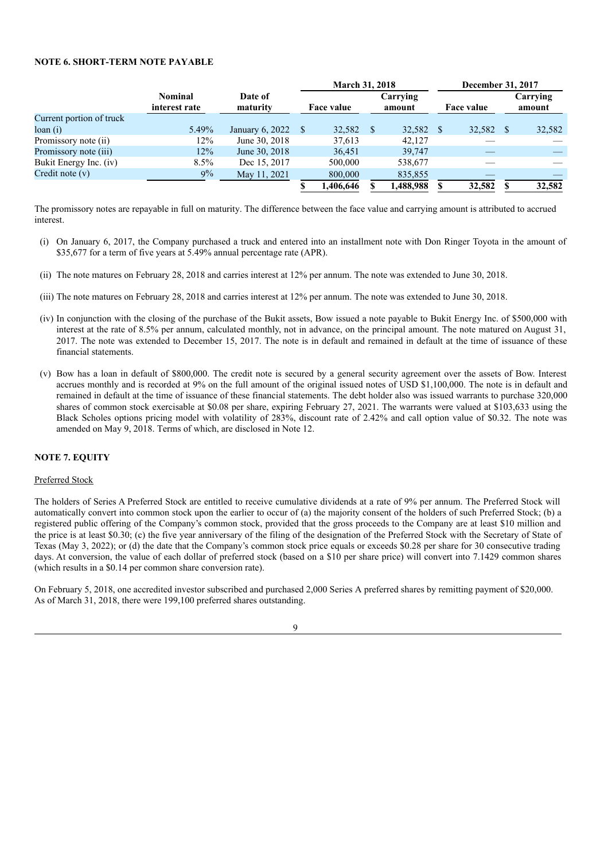## **NOTE 6. SHORT-TERM NOTE PAYABLE**

|                          |                |                       |  | <b>March 31, 2018</b> |          |           |    | December 31, 2017 |  |          |
|--------------------------|----------------|-----------------------|--|-----------------------|----------|-----------|----|-------------------|--|----------|
|                          | <b>Nominal</b> | Date of               |  |                       | Carrying |           |    |                   |  | Carrying |
|                          | interest rate  | maturity              |  | <b>Face value</b>     |          | amount    |    | <b>Face value</b> |  | amount   |
| Current portion of truck |                |                       |  |                       |          |           |    |                   |  |          |
| loan (i)                 | $5.49\%$       | January 6, 2022 $\$\$ |  | 32,582                | S S      | 32,582    | -S | 32,582            |  | 32,582   |
| Promissory note (ii)     | 12%            | June 30, 2018         |  | 37,613                |          | 42,127    |    |                   |  |          |
| Promissory note (iii)    | $12\%$         | June 30, 2018         |  | 36.451                |          | 39,747    |    |                   |  |          |
| Bukit Energy Inc. (iv)   | $8.5\%$        | Dec 15, 2017          |  | 500,000               |          | 538,677   |    |                   |  |          |
| Credit note $(v)$        | $9\%$          | May 11, 2021          |  | 800,000               |          | 835,855   |    |                   |  |          |
|                          |                |                       |  | 1,406,646             |          | 1,488,988 |    | 32,582            |  | 32,582   |

The promissory notes are repayable in full on maturity. The difference between the face value and carrying amount is attributed to accrued interest.

- (i) On January 6, 2017, the Company purchased a truck and entered into an installment note with Don Ringer Toyota in the amount of \$35,677 for a term of five years at 5.49% annual percentage rate (APR).
- (ii) The note matures on February 28, 2018 and carries interest at 12% per annum. The note was extended to June 30, 2018.
- (iii) The note matures on February 28, 2018 and carries interest at 12% per annum. The note was extended to June 30, 2018.
- (iv) In conjunction with the closing of the purchase of the Bukit assets, Bow issued a note payable to Bukit Energy Inc. of \$500,000 with interest at the rate of 8.5% per annum, calculated monthly, not in advance, on the principal amount. The note matured on August 31, 2017. The note was extended to December 15, 2017. The note is in default and remained in default at the time of issuance of these financial statements.
- (v) Bow has a loan in default of \$800,000. The credit note is secured by a general security agreement over the assets of Bow. Interest accrues monthly and is recorded at 9% on the full amount of the original issued notes of USD \$1,100,000. The note is in default and remained in default at the time of issuance of these financial statements. The debt holder also was issued warrants to purchase 320,000 shares of common stock exercisable at \$0.08 per share, expiring February 27, 2021. The warrants were valued at \$103,633 using the Black Scholes options pricing model with volatility of 283%, discount rate of 2.42% and call option value of \$0.32. The note was amended on May 9, 2018. Terms of which, are disclosed in Note 12.

## **NOTE 7. EQUITY**

#### Preferred Stock

The holders of Series A Preferred Stock are entitled to receive cumulative dividends at a rate of 9% per annum. The Preferred Stock will automatically convert into common stock upon the earlier to occur of (a) the majority consent of the holders of such Preferred Stock; (b) a registered public offering of the Company's common stock, provided that the gross proceeds to the Company are at least \$10 million and the price is at least \$0.30; (c) the five year anniversary of the filing of the designation of the Preferred Stock with the Secretary of State of Texas (May 3, 2022); or (d) the date that the Company's common stock price equals or exceeds \$0.28 per share for 30 consecutive trading days. At conversion, the value of each dollar of preferred stock (based on a \$10 per share price) will convert into 7.1429 common shares (which results in a \$0.14 per common share conversion rate).

On February 5, 2018, one accredited investor subscribed and purchased 2,000 Series A preferred shares by remitting payment of \$20,000. As of March 31, 2018, there were 199,100 preferred shares outstanding.

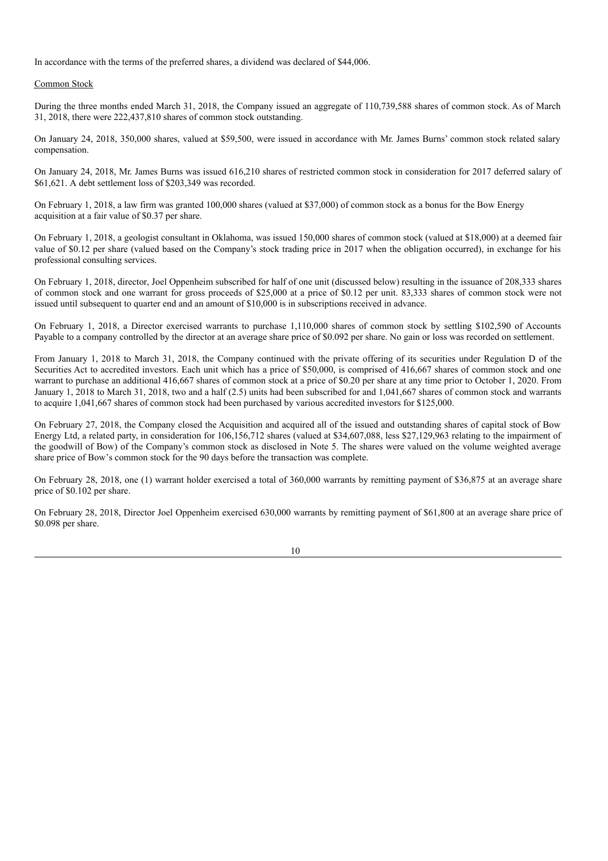In accordance with the terms of the preferred shares, a dividend was declared of \$44,006.

#### Common Stock

During the three months ended March 31, 2018, the Company issued an aggregate of 110,739,588 shares of common stock. As of March 31, 2018, there were 222,437,810 shares of common stock outstanding.

On January 24, 2018, 350,000 shares, valued at \$59,500, were issued in accordance with Mr. James Burns' common stock related salary compensation.

On January 24, 2018, Mr. James Burns was issued 616,210 shares of restricted common stock in consideration for 2017 deferred salary of \$61,621. A debt settlement loss of \$203,349 was recorded.

On February 1, 2018, a law firm was granted 100,000 shares (valued at \$37,000) of common stock as a bonus for the Bow Energy acquisition at a fair value of \$0.37 per share.

On February 1, 2018, a geologist consultant in Oklahoma, was issued 150,000 shares of common stock (valued at \$18,000) at a deemed fair value of \$0.12 per share (valued based on the Company's stock trading price in 2017 when the obligation occurred), in exchange for his professional consulting services.

On February 1, 2018, director, Joel Oppenheim subscribed for half of one unit (discussed below) resulting in the issuance of 208,333 shares of common stock and one warrant for gross proceeds of \$25,000 at a price of \$0.12 per unit. 83,333 shares of common stock were not issued until subsequent to quarter end and an amount of \$10,000 is in subscriptions received in advance.

On February 1, 2018, a Director exercised warrants to purchase 1,110,000 shares of common stock by settling \$102,590 of Accounts Payable to a company controlled by the director at an average share price of \$0.092 per share. No gain or loss was recorded on settlement.

From January 1, 2018 to March 31, 2018, the Company continued with the private offering of its securities under Regulation D of the Securities Act to accredited investors. Each unit which has a price of \$50,000, is comprised of 416,667 shares of common stock and one warrant to purchase an additional 416,667 shares of common stock at a price of \$0.20 per share at any time prior to October 1, 2020. From January 1, 2018 to March 31, 2018, two and a half (2.5) units had been subscribed for and 1,041,667 shares of common stock and warrants to acquire 1,041,667 shares of common stock had been purchased by various accredited investors for \$125,000.

On February 27, 2018, the Company closed the Acquisition and acquired all of the issued and outstanding shares of capital stock of Bow Energy Ltd, a related party, in consideration for 106,156,712 shares (valued at \$34,607,088, less \$27,129,963 relating to the impairment of the goodwill of Bow) of the Company's common stock as disclosed in Note 5. The shares were valued on the volume weighted average share price of Bow's common stock for the 90 days before the transaction was complete.

On February 28, 2018, one (1) warrant holder exercised a total of 360,000 warrants by remitting payment of \$36,875 at an average share price of \$0.102 per share.

On February 28, 2018, Director Joel Oppenheim exercised 630,000 warrants by remitting payment of \$61,800 at an average share price of \$0.098 per share.

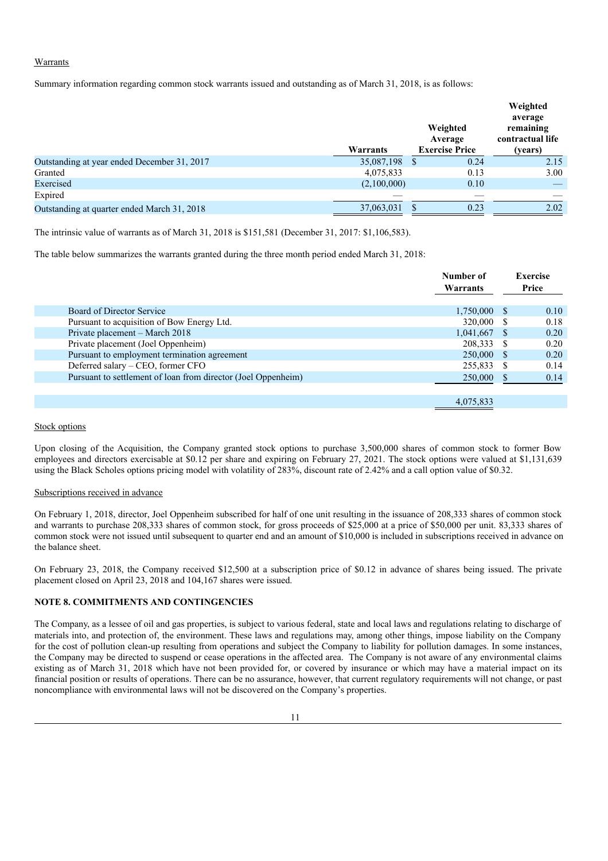## **Warrants**

Summary information regarding common stock warrants issued and outstanding as of March 31, 2018, is as follows:

|                                             | Warrants    | Weighted<br>Average<br><b>Exercise Price</b> | Weighted<br>average<br>remaining<br>contractual life<br>(years) |
|---------------------------------------------|-------------|----------------------------------------------|-----------------------------------------------------------------|
| Outstanding at year ended December 31, 2017 | 35,087,198  | 0.24                                         | 2.15                                                            |
| Granted                                     | 4,075,833   | 0.13                                         | 3.00                                                            |
| Exercised                                   | (2,100,000) | 0.10                                         |                                                                 |
| Expired                                     |             |                                              |                                                                 |
| Outstanding at quarter ended March 31, 2018 | 37,063,031  | 0.23                                         | 2.02                                                            |

The intrinsic value of warrants as of March 31, 2018 is \$151,581 (December 31, 2017: \$1,106,583).

The table below summarizes the warrants granted during the three month period ended March 31, 2018:

|                                                               | Number of      |              | <b>Exercise</b> |  |
|---------------------------------------------------------------|----------------|--------------|-----------------|--|
|                                                               | Warrants       |              | Price           |  |
|                                                               |                |              |                 |  |
| Board of Director Service                                     | 1,750,000 \$   |              | 0.10            |  |
| Pursuant to acquisition of Bow Energy Ltd.                    | 320,000        |              | 0.18            |  |
| Private placement – March 2018                                | $1,041,667$ \$ |              | 0.20            |  |
| Private placement (Joel Oppenheim)                            | 208,333        |              | 0.20            |  |
| Pursuant to employment termination agreement                  | 250,000        | <sup>S</sup> | 0.20            |  |
| Deferred salary – CEO, former CFO                             | 255,833        |              | 0.14            |  |
| Pursuant to settlement of loan from director (Joel Oppenheim) | 250,000        |              | 0.14            |  |
|                                                               |                |              |                 |  |
|                                                               | 4.075.833      |              |                 |  |

#### Stock options

Upon closing of the Acquisition, the Company granted stock options to purchase 3,500,000 shares of common stock to former Bow employees and directors exercisable at \$0.12 per share and expiring on February 27, 2021. The stock options were valued at \$1,131,639 using the Black Scholes options pricing model with volatility of 283%, discount rate of 2.42% and a call option value of \$0.32.

### Subscriptions received in advance

On February 1, 2018, director, Joel Oppenheim subscribed for half of one unit resulting in the issuance of 208,333 shares of common stock and warrants to purchase 208,333 shares of common stock, for gross proceeds of \$25,000 at a price of \$50,000 per unit. 83,333 shares of common stock were not issued until subsequent to quarter end and an amount of \$10,000 is included in subscriptions received in advance on the balance sheet.

On February 23, 2018, the Company received \$12,500 at a subscription price of \$0.12 in advance of shares being issued. The private placement closed on April 23, 2018 and 104,167 shares were issued.

## **NOTE 8. COMMITMENTS AND CONTINGENCIES**

The Company, as a lessee of oil and gas properties, is subject to various federal, state and local laws and regulations relating to discharge of materials into, and protection of, the environment. These laws and regulations may, among other things, impose liability on the Company for the cost of pollution clean-up resulting from operations and subject the Company to liability for pollution damages. In some instances, the Company may be directed to suspend or cease operations in the affected area. The Company is not aware of any environmental claims existing as of March 31, 2018 which have not been provided for, or covered by insurance or which may have a material impact on its financial position or results of operations. There can be no assurance, however, that current regulatory requirements will not change, or past noncompliance with environmental laws will not be discovered on the Company's properties.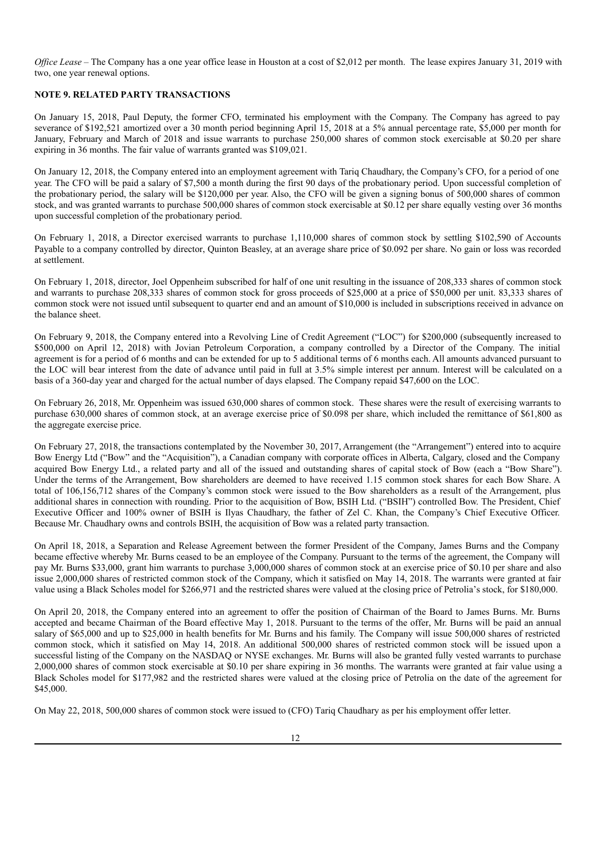*Of ice Lease* – The Company has a one year office lease in Houston at a cost of \$2,012 per month. The lease expires January 31, 2019 with two, one year renewal options.

## **NOTE 9. RELATED PARTY TRANSACTIONS**

On January 15, 2018, Paul Deputy, the former CFO, terminated his employment with the Company. The Company has agreed to pay severance of \$192,521 amortized over a 30 month period beginning April 15, 2018 at a 5% annual percentage rate, \$5,000 per month for January, February and March of 2018 and issue warrants to purchase 250,000 shares of common stock exercisable at \$0.20 per share expiring in 36 months. The fair value of warrants granted was \$109,021.

On January 12, 2018, the Company entered into an employment agreement with Tariq Chaudhary, the Company's CFO, for a period of one year. The CFO will be paid a salary of \$7,500 a month during the first 90 days of the probationary period. Upon successful completion of the probationary period, the salary will be \$120,000 per year. Also, the CFO will be given a signing bonus of 500,000 shares of common stock, and was granted warrants to purchase 500,000 shares of common stock exercisable at \$0.12 per share equally vesting over 36 months upon successful completion of the probationary period.

On February 1, 2018, a Director exercised warrants to purchase 1,110,000 shares of common stock by settling \$102,590 of Accounts Payable to a company controlled by director, Quinton Beasley, at an average share price of \$0.092 per share. No gain or loss was recorded at settlement.

On February 1, 2018, director, Joel Oppenheim subscribed for half of one unit resulting in the issuance of 208,333 shares of common stock and warrants to purchase 208,333 shares of common stock for gross proceeds of \$25,000 at a price of \$50,000 per unit. 83,333 shares of common stock were not issued until subsequent to quarter end and an amount of \$10,000 is included in subscriptions received in advance on the balance sheet.

On February 9, 2018, the Company entered into a Revolving Line of Credit Agreement ("LOC") for \$200,000 (subsequently increased to \$500,000 on April 12, 2018) with Jovian Petroleum Corporation, a company controlled by a Director of the Company. The initial agreement is for a period of 6 months and can be extended for up to 5 additional terms of 6 months each. All amounts advanced pursuant to the LOC will bear interest from the date of advance until paid in full at 3.5% simple interest per annum. Interest will be calculated on a basis of a 360-day year and charged for the actual number of days elapsed. The Company repaid \$47,600 on the LOC.

On February 26, 2018, Mr. Oppenheim was issued 630,000 shares of common stock. These shares were the result of exercising warrants to purchase 630,000 shares of common stock, at an average exercise price of \$0.098 per share, which included the remittance of \$61,800 as the aggregate exercise price.

On February 27, 2018, the transactions contemplated by the November 30, 2017, Arrangement (the "Arrangement") entered into to acquire Bow Energy Ltd ("Bow" and the "Acquisition"), a Canadian company with corporate offices in Alberta, Calgary, closed and the Company acquired Bow Energy Ltd., a related party and all of the issued and outstanding shares of capital stock of Bow (each a "Bow Share"). Under the terms of the Arrangement, Bow shareholders are deemed to have received 1.15 common stock shares for each Bow Share. A total of 106,156,712 shares of the Company's common stock were issued to the Bow shareholders as a result of the Arrangement, plus additional shares in connection with rounding. Prior to the acquisition of Bow, BSIH Ltd. ("BSIH") controlled Bow. The President, Chief Executive Officer and 100% owner of BSIH is Ilyas Chaudhary, the father of Zel C. Khan, the Company's Chief Executive Officer. Because Mr. Chaudhary owns and controls BSIH, the acquisition of Bow was a related party transaction.

On April 18, 2018, a Separation and Release Agreement between the former President of the Company, James Burns and the Company became effective whereby Mr. Burns ceased to be an employee of the Company. Pursuant to the terms of the agreement, the Company will pay Mr. Burns \$33,000, grant him warrants to purchase 3,000,000 shares of common stock at an exercise price of \$0.10 per share and also issue 2,000,000 shares of restricted common stock of the Company, which it satisfied on May 14, 2018. The warrants were granted at fair value using a Black Scholes model for \$266,971 and the restricted shares were valued at the closing price of Petrolia's stock, for \$180,000.

On April 20, 2018, the Company entered into an agreement to offer the position of Chairman of the Board to James Burns. Mr. Burns accepted and became Chairman of the Board effective May 1, 2018. Pursuant to the terms of the offer, Mr. Burns will be paid an annual salary of \$65,000 and up to \$25,000 in health benefits for Mr. Burns and his family. The Company will issue 500,000 shares of restricted common stock, which it satisfied on May 14, 2018. An additional 500,000 shares of restricted common stock will be issued upon a successful listing of the Company on the NASDAQ or NYSE exchanges. Mr. Burns will also be granted fully vested warrants to purchase 2,000,000 shares of common stock exercisable at \$0.10 per share expiring in 36 months. The warrants were granted at fair value using a Black Scholes model for \$177,982 and the restricted shares were valued at the closing price of Petrolia on the date of the agreement for \$45,000.

On May 22, 2018, 500,000 shares of common stock were issued to (CFO) Tariq Chaudhary as per his employment offer letter.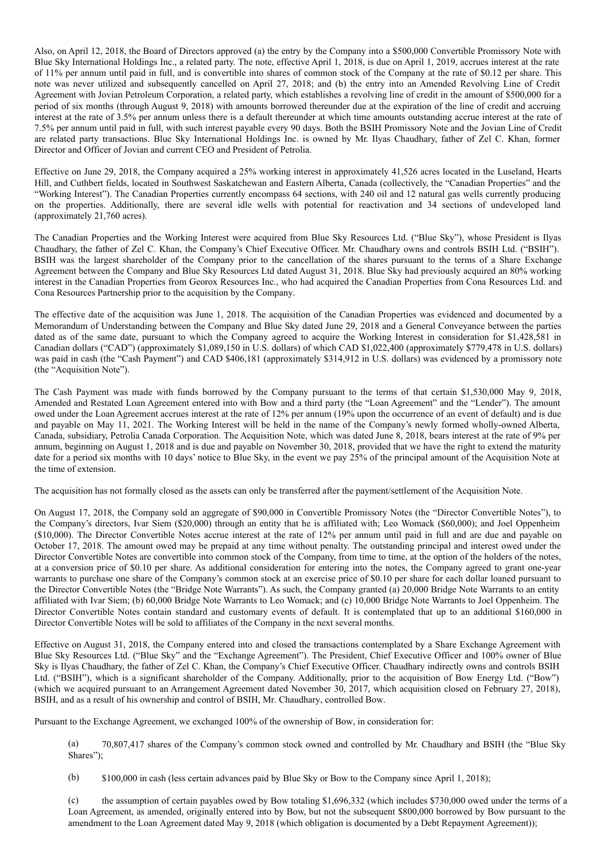Also, on April 12, 2018, the Board of Directors approved (a) the entry by the Company into a \$500,000 Convertible Promissory Note with Blue Sky International Holdings Inc., a related party. The note, effective April 1, 2018, is due on April 1, 2019, accrues interest at the rate of 11% per annum until paid in full, and is convertible into shares of common stock of the Company at the rate of \$0.12 per share. This note was never utilized and subsequently cancelled on April 27, 2018; and (b) the entry into an Amended Revolving Line of Credit Agreement with Jovian Petroleum Corporation, a related party, which establishes a revolving line of credit in the amount of \$500,000 for a period of six months (through August 9, 2018) with amounts borrowed thereunder due at the expiration of the line of credit and accruing interest at the rate of 3.5% per annum unless there is a default thereunder at which time amounts outstanding accrue interest at the rate of 7.5% per annum until paid in full, with such interest payable every 90 days. Both the BSIH Promissory Note and the Jovian Line of Credit are related party transactions. Blue Sky International Holdings Inc. is owned by Mr. Ilyas Chaudhary, father of Zel C. Khan, former Director and Officer of Jovian and current CEO and President of Petrolia.

Effective on June 29, 2018, the Company acquired a 25% working interest in approximately 41,526 acres located in the Luseland, Hearts Hill, and Cuthbert fields, located in Southwest Saskatchewan and Eastern Alberta, Canada (collectively, the "Canadian Properties" and the "Working Interest"). The Canadian Properties currently encompass 64 sections, with 240 oil and 12 natural gas wells currently producing on the properties. Additionally, there are several idle wells with potential for reactivation and 34 sections of undeveloped land (approximately 21,760 acres).

The Canadian Properties and the Working Interest were acquired from Blue Sky Resources Ltd. ("Blue Sky"), whose President is Ilyas Chaudhary, the father of Zel C. Khan, the Company's Chief Executive Officer. Mr. Chaudhary owns and controls BSIH Ltd. ("BSIH"). BSIH was the largest shareholder of the Company prior to the cancellation of the shares pursuant to the terms of a Share Exchange Agreement between the Company and Blue Sky Resources Ltd dated August 31, 2018. Blue Sky had previously acquired an 80% working interest in the Canadian Properties from Georox Resources Inc., who had acquired the Canadian Properties from Cona Resources Ltd. and Cona Resources Partnership prior to the acquisition by the Company.

The effective date of the acquisition was June 1, 2018. The acquisition of the Canadian Properties was evidenced and documented by a Memorandum of Understanding between the Company and Blue Sky dated June 29, 2018 and a General Conveyance between the parties dated as of the same date, pursuant to which the Company agreed to acquire the Working Interest in consideration for \$1,428,581 in Canadian dollars ("CAD") (approximately \$1,089,150 in U.S. dollars) of which CAD \$1,022,400 (approximately \$779,478 in U.S. dollars) was paid in cash (the "Cash Payment") and CAD \$406,181 (approximately \$314,912 in U.S. dollars) was evidenced by a promissory note (the "Acquisition Note").

The Cash Payment was made with funds borrowed by the Company pursuant to the terms of that certain \$1,530,000 May 9, 2018, Amended and Restated Loan Agreement entered into with Bow and a third party (the "Loan Agreement" and the "Lender"). The amount owed under the Loan Agreement accrues interest at the rate of 12% per annum (19% upon the occurrence of an event of default) and is due and payable on May 11, 2021. The Working Interest will be held in the name of the Company's newly formed wholly-owned Alberta, Canada, subsidiary, Petrolia Canada Corporation. The Acquisition Note, which was dated June 8, 2018, bears interest at the rate of 9% per annum, beginning on August 1, 2018 and is due and payable on November 30, 2018, provided that we have the right to extend the maturity date for a period six months with 10 days' notice to Blue Sky, in the event we pay 25% of the principal amount of the Acquisition Note at the time of extension.

The acquisition has not formally closed as the assets can only be transferred after the payment/settlement of the Acquisition Note.

On August 17, 2018, the Company sold an aggregate of \$90,000 in Convertible Promissory Notes (the "Director Convertible Notes"), to the Company's directors, Ivar Siem (\$20,000) through an entity that he is affiliated with; Leo Womack (\$60,000); and Joel Oppenheim (\$10,000). The Director Convertible Notes accrue interest at the rate of 12% per annum until paid in full and are due and payable on October 17, 2018. The amount owed may be prepaid at any time without penalty. The outstanding principal and interest owed under the Director Convertible Notes are convertible into common stock of the Company, from time to time, at the option of the holders of the notes, at a conversion price of \$0.10 per share. As additional consideration for entering into the notes, the Company agreed to grant one-year warrants to purchase one share of the Company's common stock at an exercise price of \$0.10 per share for each dollar loaned pursuant to the Director Convertible Notes (the "Bridge Note Warrants"). As such, the Company granted (a) 20,000 Bridge Note Warrants to an entity affiliated with Ivar Siem; (b) 60,000 Bridge Note Warrants to Leo Womack; and (c) 10,000 Bridge Note Warrants to Joel Oppenheim. The Director Convertible Notes contain standard and customary events of default. It is contemplated that up to an additional \$160,000 in Director Convertible Notes will be sold to affiliates of the Company in the next several months.

Effective on August 31, 2018, the Company entered into and closed the transactions contemplated by a Share Exchange Agreement with Blue Sky Resources Ltd. ("Blue Sky" and the "Exchange Agreement"). The President, Chief Executive Officer and 100% owner of Blue Sky is Ilyas Chaudhary, the father of Zel C. Khan, the Company's Chief Executive Officer. Chaudhary indirectly owns and controls BSIH Ltd. ("BSIH"), which is a significant shareholder of the Company. Additionally, prior to the acquisition of Bow Energy Ltd. ("Bow") (which we acquired pursuant to an Arrangement Agreement dated November 30, 2017, which acquisition closed on February 27, 2018), BSIH, and as a result of his ownership and control of BSIH, Mr. Chaudhary, controlled Bow.

Pursuant to the Exchange Agreement, we exchanged 100% of the ownership of Bow, in consideration for:

(a) 70,807,417 shares of the Company's common stock owned and controlled by Mr. Chaudhary and BSIH (the "Blue Sky Shares");

(b) \$100,000 in cash (less certain advances paid by Blue Sky or Bow to the Company since April 1, 2018);

(c) the assumption of certain payables owed by Bow totaling \$1,696,332 (which includes \$730,000 owed under the terms of a Loan Agreement, as amended, originally entered into by Bow, but not the subsequent \$800,000 borrowed by Bow pursuant to the amendment to the Loan Agreement dated May 9, 2018 (which obligation is documented by a Debt Repayment Agreement));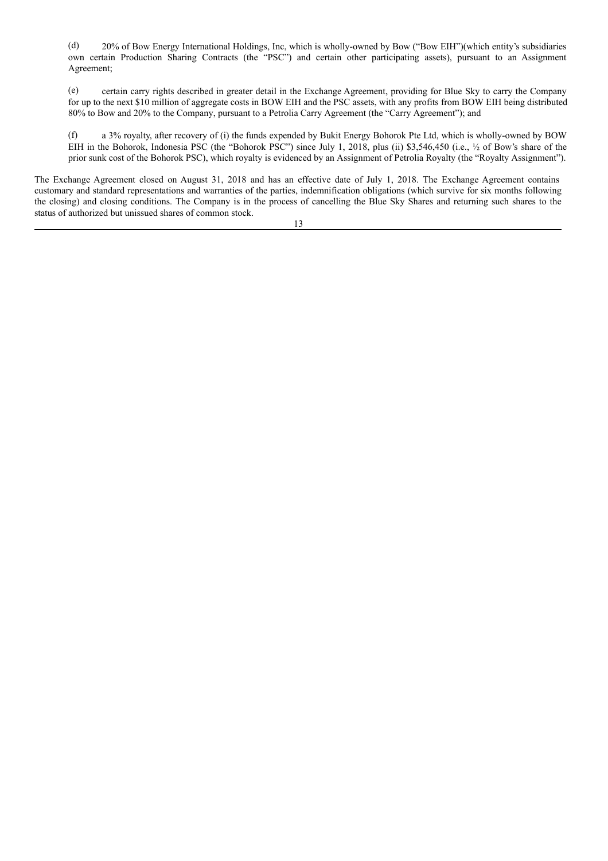(d) 20% of Bow Energy International Holdings, Inc, which is wholly-owned by Bow ("Bow EIH")(which entity's subsidiaries own certain Production Sharing Contracts (the "PSC") and certain other participating assets), pursuant to an Assignment Agreement;

(e) certain carry rights described in greater detail in the Exchange Agreement, providing for Blue Sky to carry the Company for up to the next \$10 million of aggregate costs in BOW EIH and the PSC assets, with any profits from BOW EIH being distributed 80% to Bow and 20% to the Company, pursuant to a Petrolia Carry Agreement (the "Carry Agreement"); and

(f) a 3% royalty, after recovery of (i) the funds expended by Bukit Energy Bohorok Pte Ltd, which is wholly-owned by BOW EIH in the Bohorok, Indonesia PSC (the "Bohorok PSC") since July 1, 2018, plus (ii) \$3,546,450 (i.e., ½ of Bow's share of the prior sunk cost of the Bohorok PSC), which royalty is evidenced by an Assignment of Petrolia Royalty (the "Royalty Assignment").

The Exchange Agreement closed on August 31, 2018 and has an effective date of July 1, 2018. The Exchange Agreement contains customary and standard representations and warranties of the parties, indemnification obligations (which survive for six months following the closing) and closing conditions. The Company is in the process of cancelling the Blue Sky Shares and returning such shares to the status of authorized but unissued shares of common stock.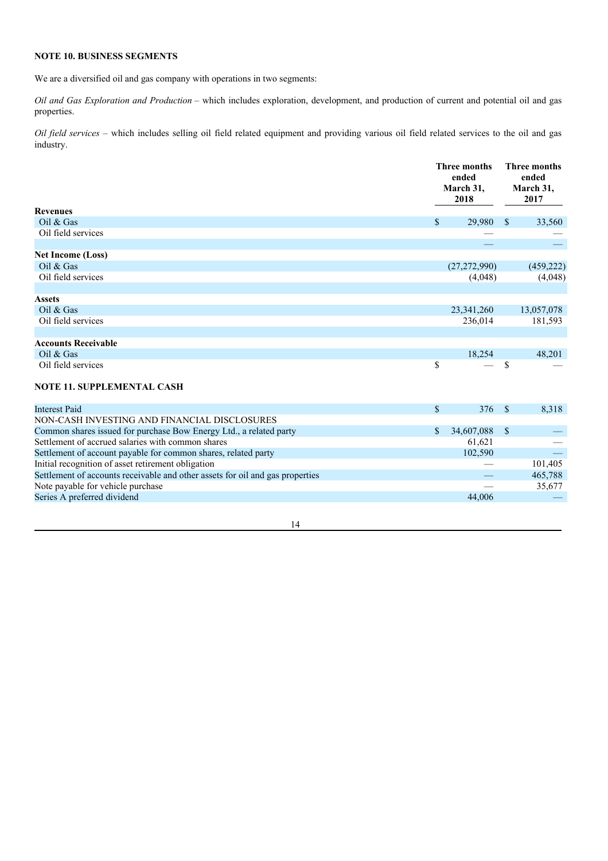## **NOTE 10. BUSINESS SEGMENTS**

We are a diversified oil and gas company with operations in two segments:

*Oil and Gas Exploration and Production* – which includes exploration, development, and production of current and potential oil and gas properties.

*Oil field services* – which includes selling oil field related equipment and providing various oil field related services to the oil and gas industry.

|                                                                               |               | <b>Three months</b><br>ended<br>March 31,<br>2018 | <b>Three months</b><br>ended<br>March 31,<br>2017 |                       |
|-------------------------------------------------------------------------------|---------------|---------------------------------------------------|---------------------------------------------------|-----------------------|
| <b>Revenues</b>                                                               |               |                                                   |                                                   |                       |
| Oil & Gas                                                                     | $\mathbf S$   | 29,980                                            | <sup>\$</sup>                                     | 33,560                |
| Oil field services                                                            |               |                                                   |                                                   |                       |
| <b>Net Income (Loss)</b>                                                      |               |                                                   |                                                   |                       |
| Oil & Gas                                                                     |               | (27, 272, 990)                                    |                                                   | (459, 222)            |
| Oil field services                                                            |               | (4,048)                                           |                                                   | (4,048)               |
| <b>Assets</b>                                                                 |               |                                                   |                                                   |                       |
| Oil & Gas                                                                     |               | 23,341,260                                        |                                                   |                       |
| Oil field services                                                            |               | 236,014                                           |                                                   | 13,057,078<br>181,593 |
|                                                                               |               |                                                   |                                                   |                       |
| <b>Accounts Receivable</b>                                                    |               |                                                   |                                                   |                       |
| Oil $&$ Gas                                                                   |               | 18,254                                            |                                                   | 48,201                |
| Oil field services                                                            | \$            |                                                   | \$                                                |                       |
| NOTE 11. SUPPLEMENTAL CASH                                                    |               |                                                   |                                                   |                       |
| <b>Interest Paid</b>                                                          | <sup>\$</sup> | 376                                               | <sup>\$</sup>                                     | 8,318                 |
| NON-CASH INVESTING AND FINANCIAL DISCLOSURES                                  |               |                                                   |                                                   |                       |
| Common shares issued for purchase Bow Energy Ltd., a related party            | \$.           | 34,607,088                                        | \$                                                |                       |
| Settlement of accrued salaries with common shares                             |               | 61,621                                            |                                                   |                       |
| Settlement of account payable for common shares, related party                |               | 102,590                                           |                                                   |                       |
| Initial recognition of asset retirement obligation                            |               |                                                   |                                                   | 101,405               |
| Settlement of accounts receivable and other assets for oil and gas properties |               |                                                   |                                                   | 465,788               |
| Note payable for vehicle purchase                                             |               |                                                   |                                                   | 35,677                |
| Series A preferred dividend                                                   |               | 44,006                                            |                                                   |                       |
|                                                                               |               |                                                   |                                                   |                       |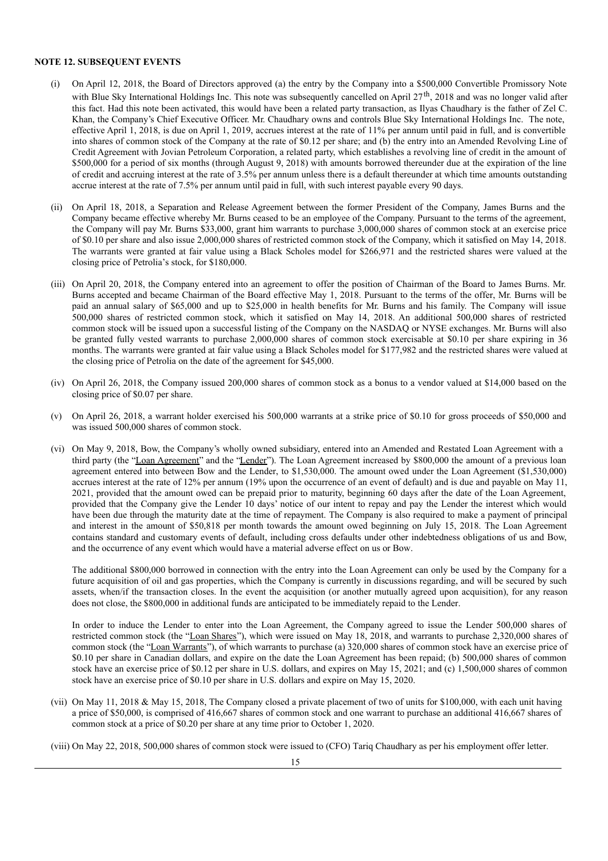#### **NOTE 12. SUBSEQUENT EVENTS**

- (i) On April 12, 2018, the Board of Directors approved (a) the entry by the Company into a \$500,000 Convertible Promissory Note with Blue Sky International Holdings Inc. This note was subsequently cancelled on April 27<sup>th</sup>, 2018 and was no longer valid after this fact. Had this note been activated, this would have been a related party transaction, as Ilyas Chaudhary is the father of Zel C. Khan, the Company's Chief Executive Officer. Mr. Chaudhary owns and controls Blue Sky International Holdings Inc. The note, effective April 1, 2018, is due on April 1, 2019, accrues interest at the rate of 11% per annum until paid in full, and is convertible into shares of common stock of the Company at the rate of \$0.12 per share; and (b) the entry into an Amended Revolving Line of Credit Agreement with Jovian Petroleum Corporation, a related party, which establishes a revolving line of credit in the amount of \$500,000 for a period of six months (through August 9, 2018) with amounts borrowed thereunder due at the expiration of the line of credit and accruing interest at the rate of 3.5% per annum unless there is a default thereunder at which time amounts outstanding accrue interest at the rate of 7.5% per annum until paid in full, with such interest payable every 90 days.
- (ii) On April 18, 2018, a Separation and Release Agreement between the former President of the Company, James Burns and the Company became effective whereby Mr. Burns ceased to be an employee of the Company. Pursuant to the terms of the agreement, the Company will pay Mr. Burns \$33,000, grant him warrants to purchase 3,000,000 shares of common stock at an exercise price of \$0.10 per share and also issue 2,000,000 shares of restricted common stock of the Company, which it satisfied on May 14, 2018. The warrants were granted at fair value using a Black Scholes model for \$266,971 and the restricted shares were valued at the closing price of Petrolia's stock, for \$180,000.
- (iii) On April 20, 2018, the Company entered into an agreement to offer the position of Chairman of the Board to James Burns. Mr. Burns accepted and became Chairman of the Board effective May 1, 2018. Pursuant to the terms of the offer, Mr. Burns will be paid an annual salary of \$65,000 and up to \$25,000 in health benefits for Mr. Burns and his family. The Company will issue 500,000 shares of restricted common stock, which it satisfied on May 14, 2018. An additional 500,000 shares of restricted common stock will be issued upon a successful listing of the Company on the NASDAQ or NYSE exchanges. Mr. Burns will also be granted fully vested warrants to purchase 2,000,000 shares of common stock exercisable at \$0.10 per share expiring in 36 months. The warrants were granted at fair value using a Black Scholes model for \$177,982 and the restricted shares were valued at the closing price of Petrolia on the date of the agreement for \$45,000.
- (iv) On April 26, 2018, the Company issued 200,000 shares of common stock as a bonus to a vendor valued at \$14,000 based on the closing price of \$0.07 per share.
- (v) On April 26, 2018, a warrant holder exercised his 500,000 warrants at a strike price of \$0.10 for gross proceeds of \$50,000 and was issued 500,000 shares of common stock.
- (vi) On May 9, 2018, Bow, the Company's wholly owned subsidiary, entered into an Amended and Restated Loan Agreement with a third party (the "Loan Agreement" and the "Lender"). The Loan Agreement increased by \$800,000 the amount of a previous loan agreement entered into between Bow and the Lender, to \$1,530,000. The amount owed under the Loan Agreement (\$1,530,000) accrues interest at the rate of 12% per annum (19% upon the occurrence of an event of default) and is due and payable on May 11, 2021, provided that the amount owed can be prepaid prior to maturity, beginning 60 days after the date of the Loan Agreement, provided that the Company give the Lender 10 days' notice of our intent to repay and pay the Lender the interest which would have been due through the maturity date at the time of repayment. The Company is also required to make a payment of principal and interest in the amount of \$50,818 per month towards the amount owed beginning on July 15, 2018. The Loan Agreement contains standard and customary events of default, including cross defaults under other indebtedness obligations of us and Bow, and the occurrence of any event which would have a material adverse effect on us or Bow.

The additional \$800,000 borrowed in connection with the entry into the Loan Agreement can only be used by the Company for a future acquisition of oil and gas properties, which the Company is currently in discussions regarding, and will be secured by such assets, when/if the transaction closes. In the event the acquisition (or another mutually agreed upon acquisition), for any reason does not close, the \$800,000 in additional funds are anticipated to be immediately repaid to the Lender.

In order to induce the Lender to enter into the Loan Agreement, the Company agreed to issue the Lender 500,000 shares of restricted common stock (the "Loan Shares"), which were issued on May 18, 2018, and warrants to purchase 2,320,000 shares of common stock (the "Loan Warrants"), of which warrants to purchase (a) 320,000 shares of common stock have an exercise price of \$0.10 per share in Canadian dollars, and expire on the date the Loan Agreement has been repaid; (b) 500,000 shares of common stock have an exercise price of \$0.12 per share in U.S. dollars, and expires on May 15, 2021; and (c) 1,500,000 shares of common stock have an exercise price of \$0.10 per share in U.S. dollars and expire on May 15, 2020.

- (vii) On May 11, 2018 & May 15, 2018, The Company closed a private placement of two of units for \$100,000, with each unit having a price of \$50,000, is comprised of 416,667 shares of common stock and one warrant to purchase an additional 416,667 shares of common stock at a price of \$0.20 per share at any time prior to October 1, 2020.
- (viii) On May 22, 2018, 500,000 shares of common stock were issued to (CFO) Tariq Chaudhary as per his employment offer letter.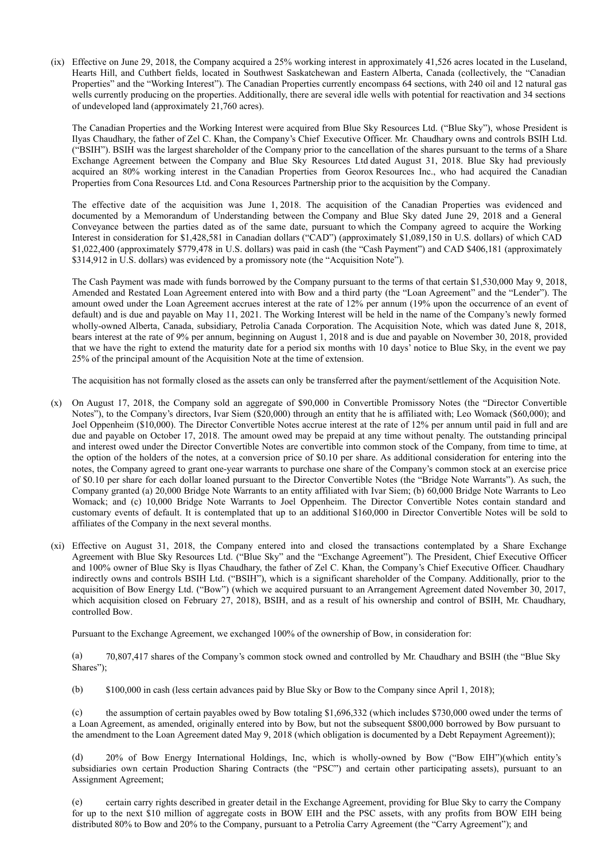(ix) Effective on June 29, 2018, the Company acquired a 25% working interest in approximately 41,526 acres located in the Luseland, Hearts Hill, and Cuthbert fields, located in Southwest Saskatchewan and Eastern Alberta, Canada (collectively, the "Canadian Properties" and the "Working Interest"). The Canadian Properties currently encompass 64 sections, with 240 oil and 12 natural gas wells currently producing on the properties. Additionally, there are several idle wells with potential for reactivation and 34 sections of undeveloped land (approximately 21,760 acres).

The Canadian Properties and the Working Interest were acquired from Blue Sky Resources Ltd. ("Blue Sky"), whose President is Ilyas Chaudhary, the father of Zel C. Khan, the Company's Chief Executive Officer. Mr. Chaudhary owns and controls BSIH Ltd. ("BSIH"). BSIH was the largest shareholder of the Company prior to the cancellation of the shares pursuant to the terms of a Share Exchange Agreement between the Company and Blue Sky Resources Ltd dated August 31, 2018. Blue Sky had previously acquired an 80% working interest in the Canadian Properties from Georox Resources Inc., who had acquired the Canadian Properties from Cona Resources Ltd. and Cona Resources Partnership prior to the acquisition by the Company.

The effective date of the acquisition was June 1, 2018. The acquisition of the Canadian Properties was evidenced and documented by a Memorandum of Understanding between the Company and Blue Sky dated June 29, 2018 and a General Conveyance between the parties dated as of the same date, pursuant to which the Company agreed to acquire the Working Interest in consideration for \$1,428,581 in Canadian dollars ("CAD") (approximately \$1,089,150 in U.S. dollars) of which CAD \$1,022,400 (approximately \$779,478 in U.S. dollars) was paid in cash (the "Cash Payment") and CAD \$406,181 (approximately \$314,912 in U.S. dollars) was evidenced by a promissory note (the "Acquisition Note").

The Cash Payment was made with funds borrowed by the Company pursuant to the terms of that certain \$1,530,000 May 9, 2018, Amended and Restated Loan Agreement entered into with Bow and a third party (the "Loan Agreement" and the "Lender"). The amount owed under the Loan Agreement accrues interest at the rate of 12% per annum (19% upon the occurrence of an event of default) and is due and payable on May 11, 2021. The Working Interest will be held in the name of the Company's newly formed wholly-owned Alberta, Canada, subsidiary, Petrolia Canada Corporation. The Acquisition Note, which was dated June 8, 2018, bears interest at the rate of 9% per annum, beginning on August 1, 2018 and is due and payable on November 30, 2018, provided that we have the right to extend the maturity date for a period six months with 10 days' notice to Blue Sky, in the event we pay 25% of the principal amount of the Acquisition Note at the time of extension.

The acquisition has not formally closed as the assets can only be transferred after the payment/settlement of the Acquisition Note.

- (x) On August 17, 2018, the Company sold an aggregate of \$90,000 in Convertible Promissory Notes (the "Director Convertible Notes"), to the Company's directors, Ivar Siem (\$20,000) through an entity that he is affiliated with; Leo Womack (\$60,000); and Joel Oppenheim (\$10,000). The Director Convertible Notes accrue interest at the rate of 12% per annum until paid in full and are due and payable on October 17, 2018. The amount owed may be prepaid at any time without penalty. The outstanding principal and interest owed under the Director Convertible Notes are convertible into common stock of the Company, from time to time, at the option of the holders of the notes, at a conversion price of \$0.10 per share. As additional consideration for entering into the notes, the Company agreed to grant one-year warrants to purchase one share of the Company's common stock at an exercise price of \$0.10 per share for each dollar loaned pursuant to the Director Convertible Notes (the "Bridge Note Warrants"). As such, the Company granted (a) 20,000 Bridge Note Warrants to an entity affiliated with Ivar Siem; (b) 60,000 Bridge Note Warrants to Leo Womack; and (c) 10,000 Bridge Note Warrants to Joel Oppenheim. The Director Convertible Notes contain standard and customary events of default. It is contemplated that up to an additional \$160,000 in Director Convertible Notes will be sold to affiliates of the Company in the next several months.
- (xi) Effective on August 31, 2018, the Company entered into and closed the transactions contemplated by a Share Exchange Agreement with Blue Sky Resources Ltd. ("Blue Sky" and the "Exchange Agreement"). The President, Chief Executive Officer and 100% owner of Blue Sky is Ilyas Chaudhary, the father of Zel C. Khan, the Company's Chief Executive Officer. Chaudhary indirectly owns and controls BSIH Ltd. ("BSIH"), which is a significant shareholder of the Company. Additionally, prior to the acquisition of Bow Energy Ltd. ("Bow") (which we acquired pursuant to an Arrangement Agreement dated November 30, 2017, which acquisition closed on February 27, 2018), BSIH, and as a result of his ownership and control of BSIH, Mr. Chaudhary, controlled Bow.

Pursuant to the Exchange Agreement, we exchanged 100% of the ownership of Bow, in consideration for:

(a) 70,807,417 shares of the Company's common stock owned and controlled by Mr. Chaudhary and BSIH (the "Blue Sky Shares");

(b) \$100,000 in cash (less certain advances paid by Blue Sky or Bow to the Company since April 1, 2018);

(c) the assumption of certain payables owed by Bow totaling \$1,696,332 (which includes \$730,000 owed under the terms of a Loan Agreement, as amended, originally entered into by Bow, but not the subsequent \$800,000 borrowed by Bow pursuant to the amendment to the Loan Agreement dated May 9, 2018 (which obligation is documented by a Debt Repayment Agreement));

(d) 20% of Bow Energy International Holdings, Inc, which is wholly-owned by Bow ("Bow EIH")(which entity's subsidiaries own certain Production Sharing Contracts (the "PSC") and certain other participating assets), pursuant to an Assignment Agreement;

(e) certain carry rights described in greater detail in the Exchange Agreement, providing for Blue Sky to carry the Company for up to the next \$10 million of aggregate costs in BOW EIH and the PSC assets, with any profits from BOW EIH being distributed 80% to Bow and 20% to the Company, pursuant to a Petrolia Carry Agreement (the "Carry Agreement"); and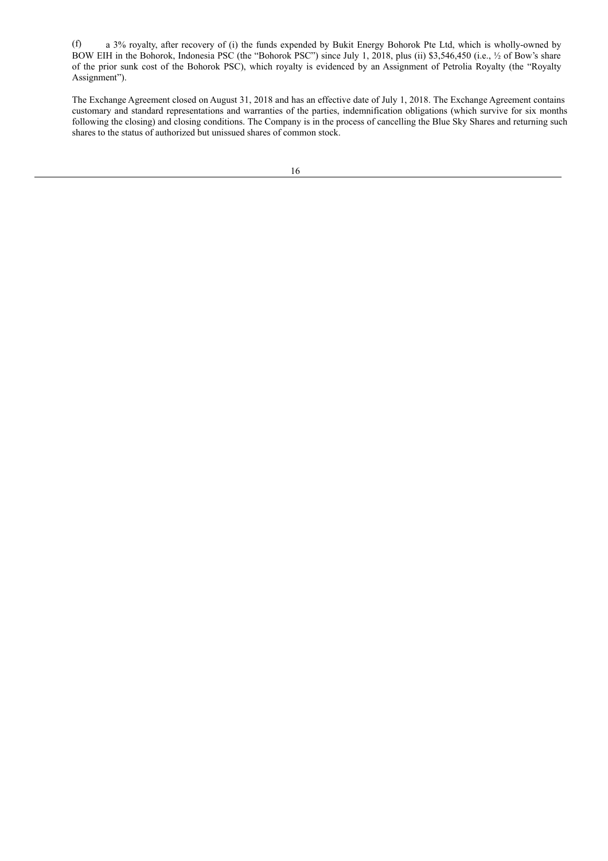(f) a 3% royalty, after recovery of (i) the funds expended by Bukit Energy Bohorok Pte Ltd, which is wholly-owned by BOW EIH in the Bohorok, Indonesia PSC (the "Bohorok PSC") since July 1, 2018, plus (ii) \$3,546,450 (i.e., ½ of Bow's share of the prior sunk cost of the Bohorok PSC), which royalty is evidenced by an Assignment of Petrolia Royalty (the "Royalty Assignment").

The Exchange Agreement closed on August 31, 2018 and has an effective date of July 1, 2018. The Exchange Agreement contains customary and standard representations and warranties of the parties, indemnification obligations (which survive for six months following the closing) and closing conditions. The Company is in the process of cancelling the Blue Sky Shares and returning such shares to the status of authorized but unissued shares of common stock.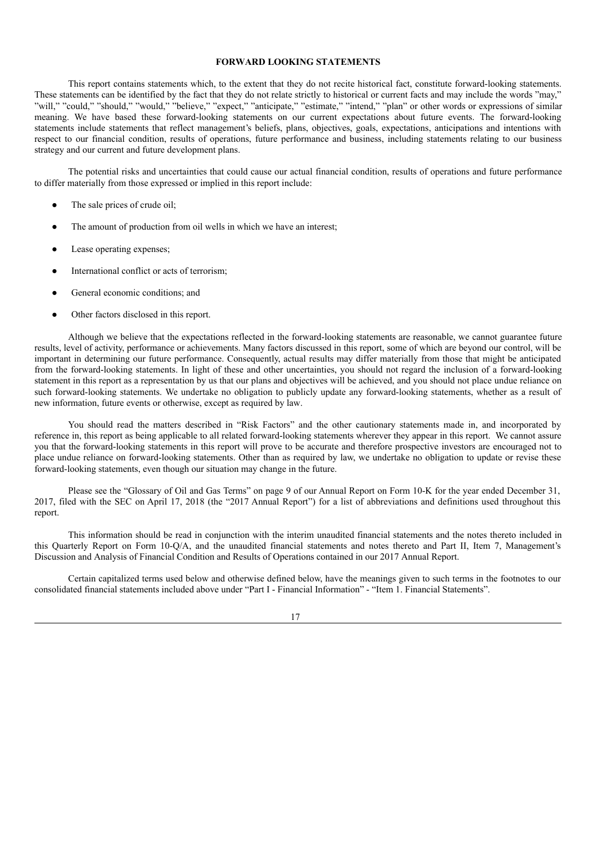### **FORWARD LOOKING STATEMENTS**

This report contains statements which, to the extent that they do not recite historical fact, constitute forward-looking statements. These statements can be identified by the fact that they do not relate strictly to historical or current facts and may include the words "may," "will," "could," "should," "would," "believe," "expect," "anticipate," "estimate," "intend," "plan" or other words or expressions of similar meaning. We have based these forward-looking statements on our current expectations about future events. The forward-looking statements include statements that reflect management's beliefs, plans, objectives, goals, expectations, anticipations and intentions with respect to our financial condition, results of operations, future performance and business, including statements relating to our business strategy and our current and future development plans.

The potential risks and uncertainties that could cause our actual financial condition, results of operations and future performance to differ materially from those expressed or implied in this report include:

- The sale prices of crude oil:
- The amount of production from oil wells in which we have an interest;
- Lease operating expenses;
- International conflict or acts of terrorism:
- General economic conditions; and
- Other factors disclosed in this report.

Although we believe that the expectations reflected in the forward-looking statements are reasonable, we cannot guarantee future results, level of activity, performance or achievements. Many factors discussed in this report, some of which are beyond our control, will be important in determining our future performance. Consequently, actual results may differ materially from those that might be anticipated from the forward-looking statements. In light of these and other uncertainties, you should not regard the inclusion of a forward-looking statement in this report as a representation by us that our plans and objectives will be achieved, and you should not place undue reliance on such forward-looking statements. We undertake no obligation to publicly update any forward-looking statements, whether as a result of new information, future events or otherwise, except as required by law.

You should read the matters described in "Risk Factors" and the other cautionary statements made in, and incorporated by reference in, this report as being applicable to all related forward-looking statements wherever they appear in this report. We cannot assure you that the forward-looking statements in this report will prove to be accurate and therefore prospective investors are encouraged not to place undue reliance on forward-looking statements. Other than as required by law, we undertake no obligation to update or revise these forward-looking statements, even though our situation may change in the future.

Please see the "Glossary of Oil and Gas Terms" on page 9 of our Annual Report on Form 10-K for the year ended December 31, 2017, filed with the SEC on April 17, 2018 (the "2017 Annual Report") for a list of abbreviations and definitions used throughout this report.

This information should be read in conjunction with the interim unaudited financial statements and the notes thereto included in this Quarterly Report on Form 10-Q/A, and the unaudited financial statements and notes thereto and Part II, Item 7, Management's Discussion and Analysis of Financial Condition and Results of Operations contained in our 2017 Annual Report.

Certain capitalized terms used below and otherwise defined below, have the meanings given to such terms in the footnotes to our consolidated financial statements included above under "Part I - Financial Information" - "Item 1. Financial Statements".

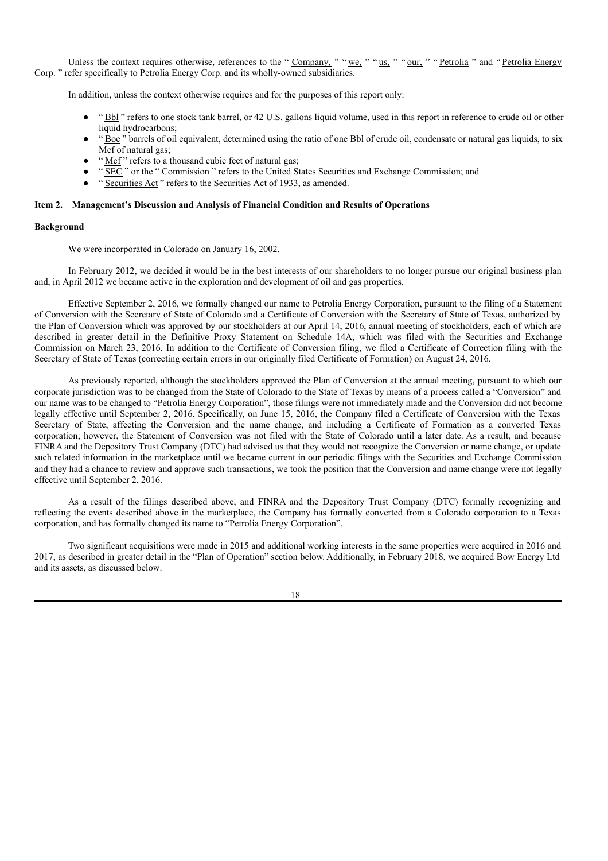Unless the context requires otherwise, references to the " Company, " "we, " "us, " " our, " " Petrolia " and " Petrolia Energy Corp. " refer specifically to Petrolia Energy Corp. and its wholly-owned subsidiaries.

In addition, unless the context otherwise requires and for the purposes of this report only:

- " Bbl " refers to one stock tank barrel, or 42 U.S. gallons liquid volume, used in this report in reference to crude oil or other liquid hydrocarbons;
- "Boe" barrels of oil equivalent, determined using the ratio of one Bbl of crude oil, condensate or natural gas liquids, to six Mcf of natural gas;
- " Mcf " refers to a thousand cubic feet of natural gas;
- " SEC " or the " Commission " refers to the United States Securities and Exchange Commission; and
- " Securities Act " refers to the Securities Act of 1933, as amended.

#### **Item 2. Management's Discussion and Analysis of Financial Condition and Results of Operations**

#### **Background**

We were incorporated in Colorado on January 16, 2002.

In February 2012, we decided it would be in the best interests of our shareholders to no longer pursue our original business plan and, in April 2012 we became active in the exploration and development of oil and gas properties.

Effective September 2, 2016, we formally changed our name to Petrolia Energy Corporation, pursuant to the filing of a Statement of Conversion with the Secretary of State of Colorado and a Certificate of Conversion with the Secretary of State of Texas, authorized by the Plan of Conversion which was approved by our stockholders at our April 14, 2016, annual meeting of stockholders, each of which are described in greater detail in the Definitive Proxy Statement on Schedule 14A, which was filed with the Securities and Exchange Commission on March 23, 2016. In addition to the Certificate of Conversion filing, we filed a Certificate of Correction filing with the Secretary of State of Texas (correcting certain errors in our originally filed Certificate of Formation) on August 24, 2016.

As previously reported, although the stockholders approved the Plan of Conversion at the annual meeting, pursuant to which our corporate jurisdiction was to be changed from the State of Colorado to the State of Texas by means of a process called a "Conversion" and our name was to be changed to "Petrolia Energy Corporation", those filings were not immediately made and the Conversion did not become legally effective until September 2, 2016. Specifically, on June 15, 2016, the Company filed a Certificate of Conversion with the Texas Secretary of State, affecting the Conversion and the name change, and including a Certificate of Formation as a converted Texas corporation; however, the Statement of Conversion was not filed with the State of Colorado until a later date. As a result, and because FINRA and the Depository Trust Company (DTC) had advised us that they would not recognize the Conversion or name change, or update such related information in the marketplace until we became current in our periodic filings with the Securities and Exchange Commission and they had a chance to review and approve such transactions, we took the position that the Conversion and name change were not legally effective until September 2, 2016.

As a result of the filings described above, and FINRA and the Depository Trust Company (DTC) formally recognizing and reflecting the events described above in the marketplace, the Company has formally converted from a Colorado corporation to a Texas corporation, and has formally changed its name to "Petrolia Energy Corporation".

Two significant acquisitions were made in 2015 and additional working interests in the same properties were acquired in 2016 and 2017, as described in greater detail in the "Plan of Operation" section below. Additionally, in February 2018, we acquired Bow Energy Ltd and its assets, as discussed below.

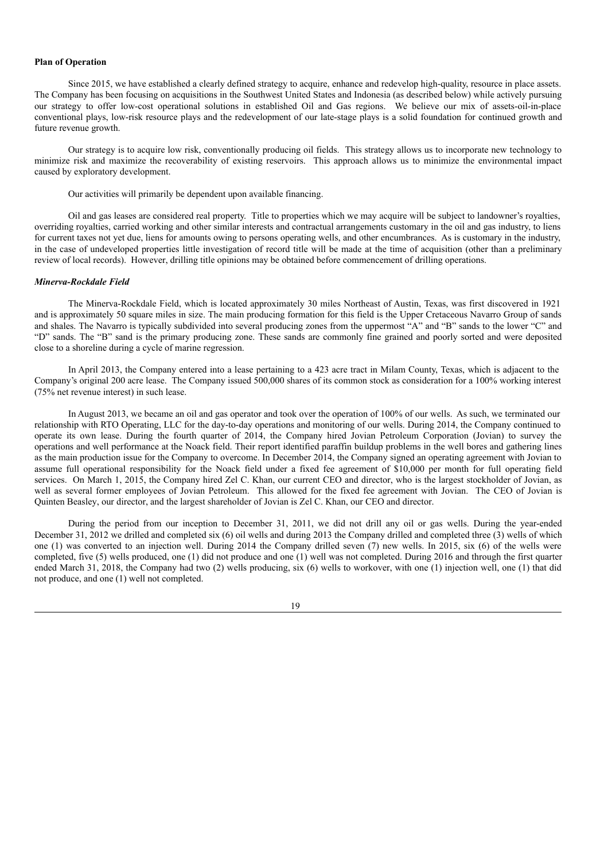#### **Plan of Operation**

Since 2015, we have established a clearly defined strategy to acquire, enhance and redevelop high-quality, resource in place assets. The Company has been focusing on acquisitions in the Southwest United States and Indonesia (as described below) while actively pursuing our strategy to offer low-cost operational solutions in established Oil and Gas regions. We believe our mix of assets-oil-in-place conventional plays, low-risk resource plays and the redevelopment of our late-stage plays is a solid foundation for continued growth and future revenue growth.

Our strategy is to acquire low risk, conventionally producing oil fields. This strategy allows us to incorporate new technology to minimize risk and maximize the recoverability of existing reservoirs. This approach allows us to minimize the environmental impact caused by exploratory development.

Our activities will primarily be dependent upon available financing.

Oil and gas leases are considered real property. Title to properties which we may acquire will be subject to landowner's royalties, overriding royalties, carried working and other similar interests and contractual arrangements customary in the oil and gas industry, to liens for current taxes not yet due, liens for amounts owing to persons operating wells, and other encumbrances. As is customary in the industry, in the case of undeveloped properties little investigation of record title will be made at the time of acquisition (other than a preliminary review of local records). However, drilling title opinions may be obtained before commencement of drilling operations.

#### *Minerva-Rockdale Field*

The Minerva-Rockdale Field, which is located approximately 30 miles Northeast of Austin, Texas, was first discovered in 1921 and is approximately 50 square miles in size. The main producing formation for this field is the Upper Cretaceous Navarro Group of sands and shales. The Navarro is typically subdivided into several producing zones from the uppermost "A" and "B" sands to the lower "C" and "D" sands. The "B" sand is the primary producing zone. These sands are commonly fine grained and poorly sorted and were deposited close to a shoreline during a cycle of marine regression.

In April 2013, the Company entered into a lease pertaining to a 423 acre tract in Milam County, Texas, which is adjacent to the Company's original 200 acre lease. The Company issued 500,000 shares of its common stock as consideration for a 100% working interest (75% net revenue interest) in such lease.

In August 2013, we became an oil and gas operator and took over the operation of 100% of our wells. As such, we terminated our relationship with RTO Operating, LLC for the day-to-day operations and monitoring of our wells. During 2014, the Company continued to operate its own lease. During the fourth quarter of 2014, the Company hired Jovian Petroleum Corporation (Jovian) to survey the operations and well performance at the Noack field. Their report identified paraffin buildup problems in the well bores and gathering lines as the main production issue for the Company to overcome. In December 2014, the Company signed an operating agreement with Jovian to assume full operational responsibility for the Noack field under a fixed fee agreement of \$10,000 per month for full operating field services. On March 1, 2015, the Company hired Zel C. Khan, our current CEO and director, who is the largest stockholder of Jovian, as well as several former employees of Jovian Petroleum. This allowed for the fixed fee agreement with Jovian. The CEO of Jovian is Quinten Beasley, our director, and the largest shareholder of Jovian is Zel C. Khan, our CEO and director.

During the period from our inception to December 31, 2011, we did not drill any oil or gas wells. During the year-ended December 31, 2012 we drilled and completed six (6) oil wells and during 2013 the Company drilled and completed three (3) wells of which one (1) was converted to an injection well. During 2014 the Company drilled seven (7) new wells. In 2015, six (6) of the wells were completed, five (5) wells produced, one (1) did not produce and one (1) well was not completed. During 2016 and through the first quarter ended March 31, 2018, the Company had two (2) wells producing, six (6) wells to workover, with one (1) injection well, one (1) that did not produce, and one (1) well not completed.

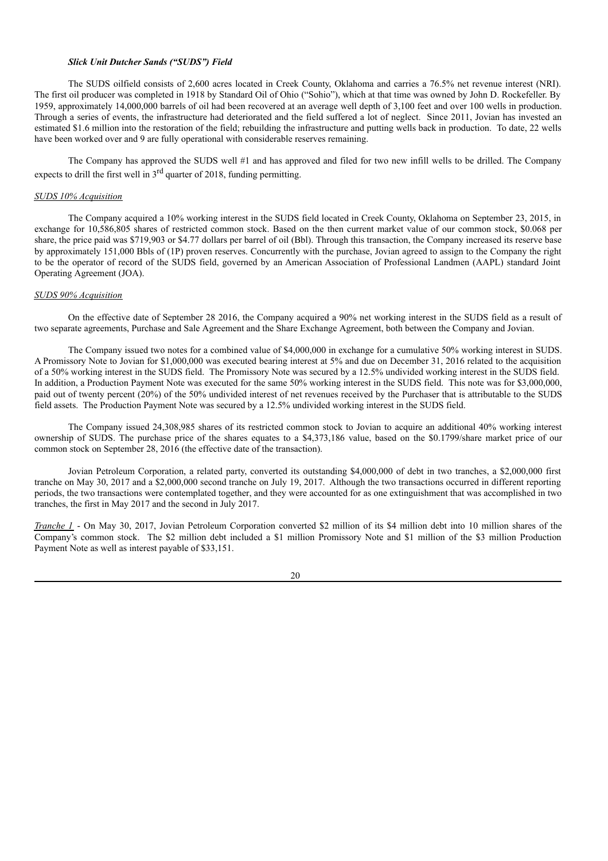#### *Slick Unit Dutcher Sands ("SUDS") Field*

The SUDS oilfield consists of 2,600 acres located in Creek County, Oklahoma and carries a 76.5% net revenue interest (NRI). The first oil producer was completed in 1918 by Standard Oil of Ohio ("Sohio"), which at that time was owned by John D. Rockefeller. By 1959, approximately 14,000,000 barrels of oil had been recovered at an average well depth of 3,100 feet and over 100 wells in production. Through a series of events, the infrastructure had deteriorated and the field suffered a lot of neglect. Since 2011, Jovian has invested an estimated \$1.6 million into the restoration of the field; rebuilding the infrastructure and putting wells back in production. To date, 22 wells have been worked over and 9 are fully operational with considerable reserves remaining.

The Company has approved the SUDS well #1 and has approved and filed for two new infill wells to be drilled. The Company expects to drill the first well in  $3<sup>rd</sup>$  quarter of 2018, funding permitting.

## *SUDS 10% Acquisition*

The Company acquired a 10% working interest in the SUDS field located in Creek County, Oklahoma on September 23, 2015, in exchange for 10,586,805 shares of restricted common stock. Based on the then current market value of our common stock, \$0.068 per share, the price paid was \$719,903 or \$4.77 dollars per barrel of oil (Bbl). Through this transaction, the Company increased its reserve base by approximately 151,000 Bbls of (1P) proven reserves. Concurrently with the purchase, Jovian agreed to assign to the Company the right to be the operator of record of the SUDS field, governed by an American Association of Professional Landmen (AAPL) standard Joint Operating Agreement (JOA).

#### *SUDS 90% Acquisition*

On the effective date of September 28 2016, the Company acquired a 90% net working interest in the SUDS field as a result of two separate agreements, Purchase and Sale Agreement and the Share Exchange Agreement, both between the Company and Jovian.

The Company issued two notes for a combined value of \$4,000,000 in exchange for a cumulative 50% working interest in SUDS. A Promissory Note to Jovian for \$1,000,000 was executed bearing interest at 5% and due on December 31, 2016 related to the acquisition of a 50% working interest in the SUDS field. The Promissory Note was secured by a 12.5% undivided working interest in the SUDS field. In addition, a Production Payment Note was executed for the same 50% working interest in the SUDS field. This note was for \$3,000,000, paid out of twenty percent (20%) of the 50% undivided interest of net revenues received by the Purchaser that is attributable to the SUDS field assets. The Production Payment Note was secured by a 12.5% undivided working interest in the SUDS field.

The Company issued 24,308,985 shares of its restricted common stock to Jovian to acquire an additional 40% working interest ownership of SUDS. The purchase price of the shares equates to a \$4,373,186 value, based on the \$0.1799/share market price of our common stock on September 28, 2016 (the effective date of the transaction).

Jovian Petroleum Corporation, a related party, converted its outstanding \$4,000,000 of debt in two tranches, a \$2,000,000 first tranche on May 30, 2017 and a \$2,000,000 second tranche on July 19, 2017. Although the two transactions occurred in different reporting periods, the two transactions were contemplated together, and they were accounted for as one extinguishment that was accomplished in two tranches, the first in May 2017 and the second in July 2017.

*Tranche 1* - On May 30, 2017, Jovian Petroleum Corporation converted \$2 million of its \$4 million debt into 10 million shares of the Company's common stock. The \$2 million debt included a \$1 million Promissory Note and \$1 million of the \$3 million Production Payment Note as well as interest payable of \$33,151.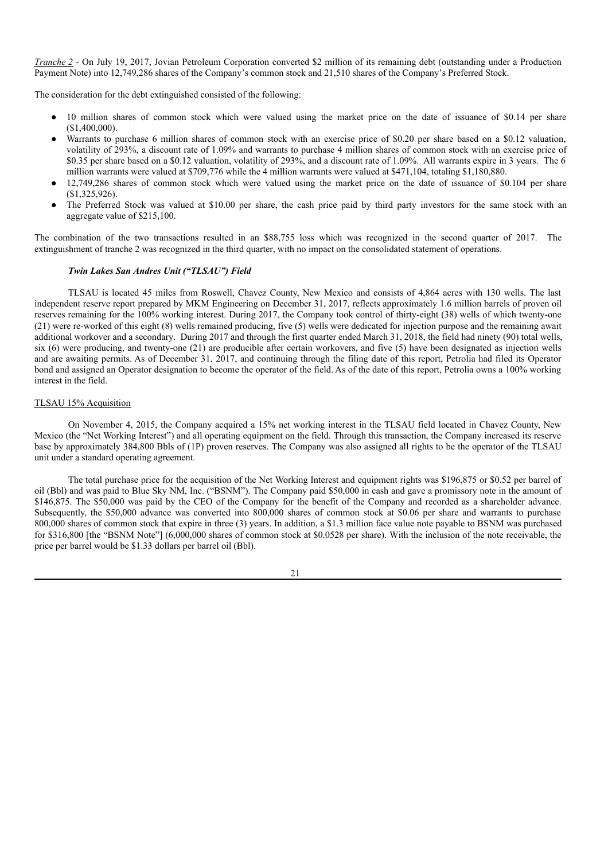*Tranche 2* - On July 19, 2017, Jovian Petroleum Corporation converted \$2 million of its remaining debt (outstanding under a Production Payment Note) into 12,749,286 shares of the Company's common stock and 21,510 shares of the Company's Preferred Stock.

The consideration for the debt extinguished consisted of the following:

- 10 million shares of common stock which were valued using the market price on the date of issuance of \$0.14 per share (\$1,400,000).
- Warrants to purchase 6 million shares of common stock with an exercise price of \$0.20 per share based on a \$0.12 valuation, volatility of 293%, a discount rate of 1.09% and warrants to purchase 4 million shares of common stock with an exercise price of \$0.35 per share based on a \$0.12 valuation, volatility of 293%, and a discount rate of 1.09%. All warrants expire in 3 years. The 6 million warrants were valued at \$709,776 while the 4 million warrants were valued at \$471,104, totaling \$1,180,880.
- 12,749,286 shares of common stock which were valued using the market price on the date of issuance of \$0.104 per share (\$1,325,926).
- The Preferred Stock was valued at \$10.00 per share, the cash price paid by third party investors for the same stock with an aggregate value of \$215,100.

The combination of the two transactions resulted in an \$88,755 loss which was recognized in the second quarter of 2017. The extinguishment of tranche 2 was recognized in the third quarter, with no impact on the consolidated statement of operations.

### *Twin Lakes San Andres Unit ("TLSAU") Field*

TLSAU is located 45 miles from Roswell, Chavez County, New Mexico and consists of 4,864 acres with 130 wells. The last independent reserve report prepared by MKM Engineering on December 31, 2017, reflects approximately 1.6 million barrels of proven oil reserves remaining for the 100% working interest. During 2017, the Company took control of thirty-eight (38) wells of which twenty-one (21) were re-worked of this eight (8) wells remained producing, five (5) wells were dedicated for injection purpose and the remaining await additional workover and a secondary. During 2017 and through the first quarter ended March 31, 2018, the field had ninety (90) total wells, six (6) were producing, and twenty-one (21) are producible after certain workovers, and five (5) have been designated as injection wells and are awaiting permits. As of December 31, 2017, and continuing through the filing date of this report, Petrolia had filed its Operator bond and assigned an Operator designation to become the operator of the field. As of the date of this report, Petrolia owns a 100% working interest in the field.

#### TLSAU 15% Acquisition

On November 4, 2015, the Company acquired a 15% net working interest in the TLSAU field located in Chavez County, New Mexico (the "Net Working Interest") and all operating equipment on the field. Through this transaction, the Company increased its reserve base by approximately 384,800 Bbls of (1P) proven reserves. The Company was also assigned all rights to be the operator of the TLSAU unit under a standard operating agreement.

The total purchase price for the acquisition of the Net Working Interest and equipment rights was \$196,875 or \$0.52 per barrel of oil (Bbl) and was paid to Blue Sky NM, Inc. ("BSNM"). The Company paid \$50,000 in cash and gave a promissory note in the amount of \$146,875. The \$50,000 was paid by the CEO of the Company for the benefit of the Company and recorded as a shareholder advance. Subsequently, the \$50,000 advance was converted into 800,000 shares of common stock at \$0.06 per share and warrants to purchase 800,000 shares of common stock that expire in three (3) years. In addition, a \$1.3 million face value note payable to BSNM was purchased for \$316,800 [the "BSNM Note"] (6,000,000 shares of common stock at \$0.0528 per share). With the inclusion of the note receivable, the price per barrel would be \$1.33 dollars per barrel oil (Bbl).

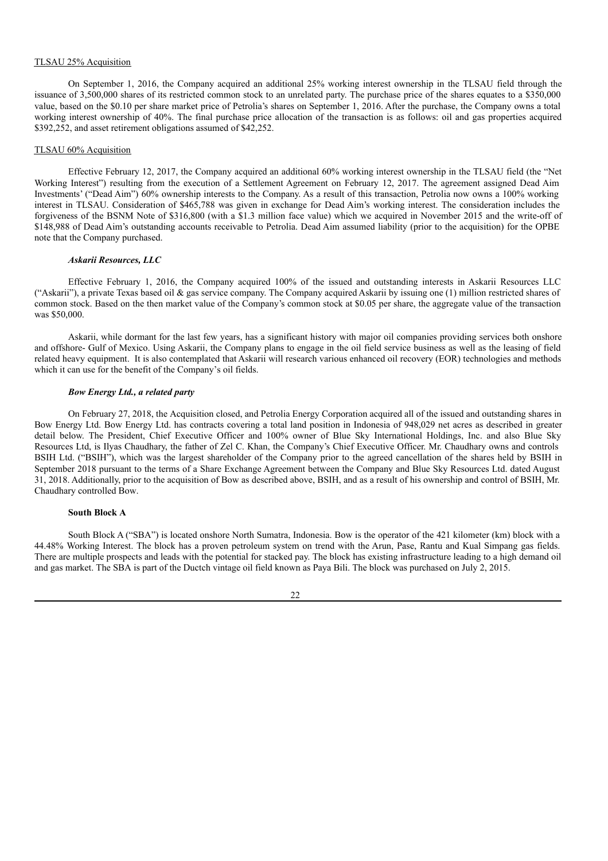#### TLSAU 25% Acquisition

On September 1, 2016, the Company acquired an additional 25% working interest ownership in the TLSAU field through the issuance of 3,500,000 shares of its restricted common stock to an unrelated party. The purchase price of the shares equates to a \$350,000 value, based on the \$0.10 per share market price of Petrolia's shares on September 1, 2016. After the purchase, the Company owns a total working interest ownership of 40%. The final purchase price allocation of the transaction is as follows: oil and gas properties acquired \$392,252, and asset retirement obligations assumed of \$42,252.

#### TLSAU 60% Acquisition

Effective February 12, 2017, the Company acquired an additional 60% working interest ownership in the TLSAU field (the "Net Working Interest") resulting from the execution of a Settlement Agreement on February 12, 2017. The agreement assigned Dead Aim Investments' ("Dead Aim") 60% ownership interests to the Company. As a result of this transaction, Petrolia now owns a 100% working interest in TLSAU. Consideration of \$465,788 was given in exchange for Dead Aim's working interest. The consideration includes the forgiveness of the BSNM Note of \$316,800 (with a \$1.3 million face value) which we acquired in November 2015 and the write-off of \$148,988 of Dead Aim's outstanding accounts receivable to Petrolia. Dead Aim assumed liability (prior to the acquisition) for the OPBE note that the Company purchased.

#### *Askarii Resources, LLC*

Effective February 1, 2016, the Company acquired 100% of the issued and outstanding interests in Askarii Resources LLC ("Askarii"), a private Texas based oil & gas service company. The Company acquired Askarii by issuing one (1) million restricted shares of common stock. Based on the then market value of the Company's common stock at \$0.05 per share, the aggregate value of the transaction was \$50,000.

Askarii, while dormant for the last few years, has a significant history with major oil companies providing services both onshore and offshore- Gulf of Mexico. Using Askarii, the Company plans to engage in the oil field service business as well as the leasing of field related heavy equipment. It is also contemplated that Askarii will research various enhanced oil recovery (EOR) technologies and methods which it can use for the benefit of the Company's oil fields.

#### *Bow Energy Ltd., a related party*

On February 27, 2018, the Acquisition closed, and Petrolia Energy Corporation acquired all of the issued and outstanding shares in Bow Energy Ltd. Bow Energy Ltd. has contracts covering a total land position in Indonesia of 948,029 net acres as described in greater detail below. The President, Chief Executive Officer and 100% owner of Blue Sky International Holdings, Inc. and also Blue Sky Resources Ltd, is Ilyas Chaudhary, the father of Zel C. Khan, the Company's Chief Executive Officer. Mr. Chaudhary owns and controls BSIH Ltd. ("BSIH"), which was the largest shareholder of the Company prior to the agreed cancellation of the shares held by BSIH in September 2018 pursuant to the terms of a Share Exchange Agreement between the Company and Blue Sky Resources Ltd. dated August 31, 2018. Additionally, prior to the acquisition of Bow as described above, BSIH, and as a result of his ownership and control of BSIH, Mr. Chaudhary controlled Bow.

#### **South Block A**

South Block A ("SBA") is located onshore North Sumatra, Indonesia. Bow is the operator of the 421 kilometer (km) block with a 44.48% Working Interest. The block has a proven petroleum system on trend with the Arun, Pase, Rantu and Kual Simpang gas fields. There are multiple prospects and leads with the potential for stacked pay. The block has existing infrastructure leading to a high demand oil and gas market. The SBA is part of the Ductch vintage oil field known as Paya Bili. The block was purchased on July 2, 2015.

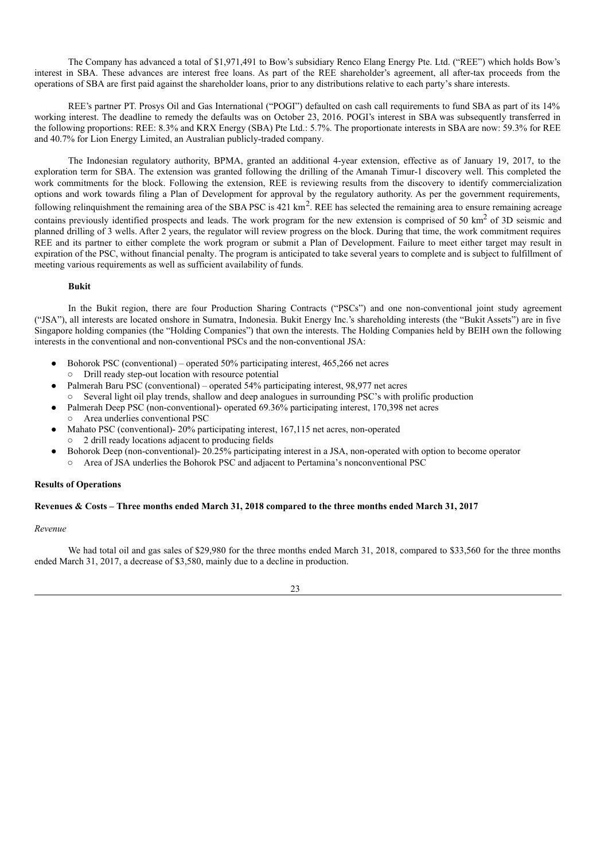The Company has advanced a total of \$1,971,491 to Bow's subsidiary Renco Elang Energy Pte. Ltd. ("REE") which holds Bow's interest in SBA. These advances are interest free loans. As part of the REE shareholder's agreement, all after-tax proceeds from the operations of SBA are first paid against the shareholder loans, prior to any distributions relative to each party's share interests.

REE's partner PT. Prosys Oil and Gas International ("POGI") defaulted on cash call requirements to fund SBA as part of its 14% working interest. The deadline to remedy the defaults was on October 23, 2016. POGI's interest in SBA was subsequently transferred in the following proportions: REE: 8.3% and KRX Energy (SBA) Pte Ltd.: 5.7%. The proportionate interests in SBA are now: 59.3% for REE and 40.7% for Lion Energy Limited, an Australian publicly-traded company.

The Indonesian regulatory authority, BPMA, granted an additional 4-year extension, effective as of January 19, 2017, to the exploration term for SBA. The extension was granted following the drilling of the Amanah Timur-1 discovery well. This completed the work commitments for the block. Following the extension, REE is reviewing results from the discovery to identify commercialization options and work towards filing a Plan of Development for approval by the regulatory authority. As per the government requirements, following relinquishment the remaining area of the SBA PSC is 421  $\text{km}^2$ . REE has selected the remaining area to ensure remaining acreage contains previously identified prospects and leads. The work program for the new extension is comprised of 50  $\text{km}^2$  of 3D seismic and planned drilling of 3 wells. After 2 years, the regulator will review progress on the block. During that time, the work commitment requires REE and its partner to either complete the work program or submit a Plan of Development. Failure to meet either target may result in expiration of the PSC, without financial penalty. The program is anticipated to take several years to complete and is subject to fulfillment of meeting various requirements as well as sufficient availability of funds.

#### **Bukit**

In the Bukit region, there are four Production Sharing Contracts ("PSCs") and one non-conventional joint study agreement ("JSA"), all interests are located onshore in Sumatra, Indonesia. Bukit Energy Inc.'s shareholding interests (the "Bukit Assets") are in five Singapore holding companies (the "Holding Companies") that own the interests. The Holding Companies held by BEIH own the following interests in the conventional and non-conventional PSCs and the non-conventional JSA:

- Bohorok PSC (conventional) operated 50% participating interest, 465,266 net acres ○ Drill ready step-out location with resource potential
- Palmerah Baru PSC (conventional) operated  $54\%$  participating interest, 98,977 net acres ○ Several light oil play trends, shallow and deep analogues in surrounding PSC's with prolific production
- Palmerah Deep PSC (non-conventional)- operated 69.36% participating interest, 170,398 net acres ○ Area underlies conventional PSC
- Mahato PSC (conventional)- 20% participating interest, 167,115 net acres, non-operated ○ 2 drill ready locations adjacent to producing fields
- Bohorok Deep (non-conventional)- 20.25% participating interest in a JSA, non-operated with option to become operator ○ Area of JSA underlies the Bohorok PSC and adjacent to Pertamina's nonconventional PSC

#### **Results of Operations**

### Revenues & Costs - Three months ended March 31, 2018 compared to the three months ended March 31, 2017

#### *Revenue*

We had total oil and gas sales of \$29,980 for the three months ended March 31, 2018, compared to \$33,560 for the three months ended March 31, 2017, a decrease of \$3,580, mainly due to a decline in production.

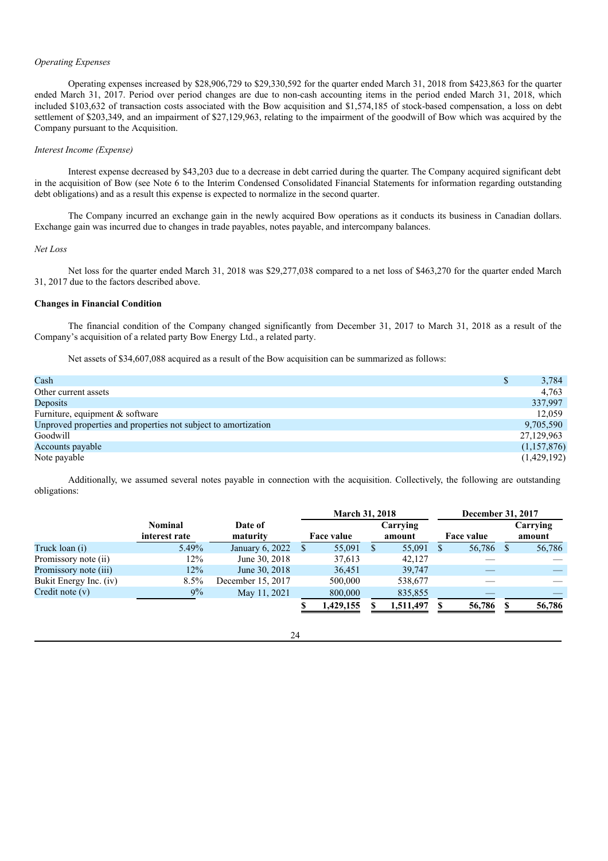#### *Operating Expenses*

Operating expenses increased by \$28,906,729 to \$29,330,592 for the quarter ended March 31, 2018 from \$423,863 for the quarter ended March 31, 2017. Period over period changes are due to non-cash accounting items in the period ended March 31, 2018, which included \$103,632 of transaction costs associated with the Bow acquisition and \$1,574,185 of stock-based compensation, a loss on debt settlement of \$203,349, and an impairment of \$27,129,963, relating to the impairment of the goodwill of Bow which was acquired by the Company pursuant to the Acquisition.

## *Interest Income (Expense)*

Interest expense decreased by \$43,203 due to a decrease in debt carried during the quarter. The Company acquired significant debt in the acquisition of Bow (see Note 6 to the Interim Condensed Consolidated Financial Statements for information regarding outstanding debt obligations) and as a result this expense is expected to normalize in the second quarter.

The Company incurred an exchange gain in the newly acquired Bow operations as it conducts its business in Canadian dollars. Exchange gain was incurred due to changes in trade payables, notes payable, and intercompany balances.

#### *Net Loss*

Net loss for the quarter ended March 31, 2018 was \$29,277,038 compared to a net loss of \$463,270 for the quarter ended March 31, 2017 due to the factors described above.

#### **Changes in Financial Condition**

The financial condition of the Company changed significantly from December 31, 2017 to March 31, 2018 as a result of the Company's acquisition of a related party Bow Energy Ltd., a related party.

Net assets of \$34,607,088 acquired as a result of the Bow acquisition can be summarized as follows:

| Cash                                                           | S | 3,784       |
|----------------------------------------------------------------|---|-------------|
| Other current assets                                           |   | 4.763       |
| Deposits                                                       |   | 337,997     |
| Furniture, equipment & software                                |   | 12.059      |
| Unproved properties and properties not subject to amortization |   | 9,705,590   |
| Goodwill                                                       |   | 27,129,963  |
| Accounts payable                                               |   | (1,157,876) |
| Note payable                                                   |   | (1,429,192) |
|                                                                |   |             |

Additionally, we assumed several notes payable in connection with the acquisition. Collectively, the following are outstanding obligations:

|                        |                |                   | <b>March 31, 2018</b> |              |           | December 31, 2017 |          |
|------------------------|----------------|-------------------|-----------------------|--------------|-----------|-------------------|----------|
|                        | <b>Nominal</b> | Date of           |                       |              | Carrying  |                   | Carrying |
|                        | interest rate  | maturity          | Face value            |              | amount    | <b>Face value</b> | amount   |
| Truck loan (i)         | 5.49%          | January 6, 2022   | 55,091                | <sup>S</sup> | 55,091    | 56,786            | 56,786   |
| Promissory note (ii)   | 12%            | June 30, 2018     | 37.613                |              | 42.127    |                   |          |
| Promissory note (iii)  | 12%            | June 30, 2018     | 36.451                |              | 39,747    |                   |          |
| Bukit Energy Inc. (iv) | $8.5\%$        | December 15, 2017 | 500,000               |              | 538,677   |                   |          |
| Credit note $(v)$      | 9%             | May 11, 2021      | 800,000               |              | 835,855   |                   |          |
|                        |                |                   | 1,429,155             |              | 1,511,497 | 56,786            | 56,786   |
|                        |                |                   |                       |              |           |                   |          |

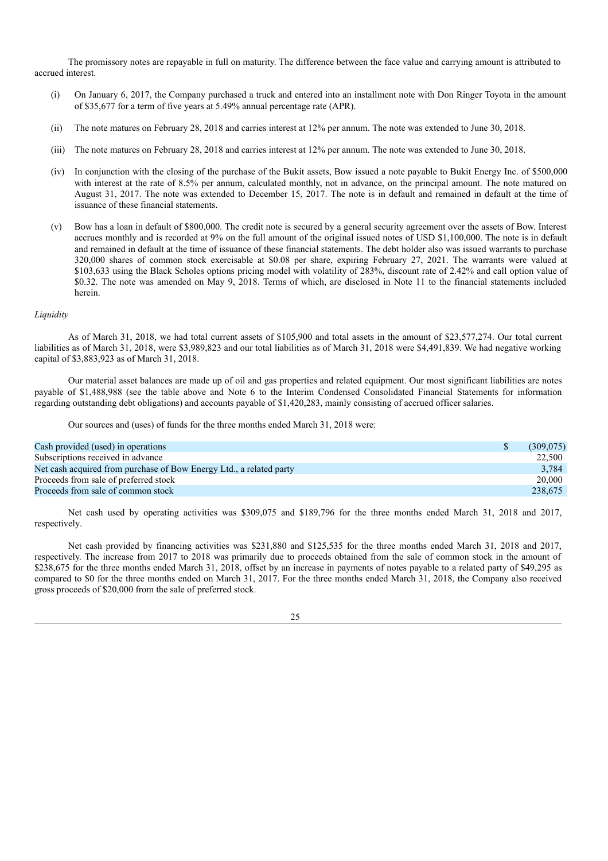The promissory notes are repayable in full on maturity. The difference between the face value and carrying amount is attributed to accrued interest.

- (i) On January 6, 2017, the Company purchased a truck and entered into an installment note with Don Ringer Toyota in the amount of \$35,677 for a term of five years at 5.49% annual percentage rate (APR).
- (ii) The note matures on February 28, 2018 and carries interest at 12% per annum. The note was extended to June 30, 2018.
- (iii) The note matures on February 28, 2018 and carries interest at 12% per annum. The note was extended to June 30, 2018.
- (iv) In conjunction with the closing of the purchase of the Bukit assets, Bow issued a note payable to Bukit Energy Inc. of \$500,000 with interest at the rate of 8.5% per annum, calculated monthly, not in advance, on the principal amount. The note matured on August 31, 2017. The note was extended to December 15, 2017. The note is in default and remained in default at the time of issuance of these financial statements.
- (v) Bow has a loan in default of \$800,000. The credit note is secured by a general security agreement over the assets of Bow. Interest accrues monthly and is recorded at 9% on the full amount of the original issued notes of USD \$1,100,000. The note is in default and remained in default at the time of issuance of these financial statements. The debt holder also was issued warrants to purchase 320,000 shares of common stock exercisable at \$0.08 per share, expiring February 27, 2021. The warrants were valued at \$103,633 using the Black Scholes options pricing model with volatility of 283%, discount rate of 2.42% and call option value of \$0.32. The note was amended on May 9, 2018. Terms of which, are disclosed in Note 11 to the financial statements included herein.

#### *Liquidity*

As of March 31, 2018, we had total current assets of \$105,900 and total assets in the amount of \$23,577,274. Our total current liabilities as of March 31, 2018, were \$3,989,823 and our total liabilities as of March 31, 2018 were \$4,491,839. We had negative working capital of \$3,883,923 as of March 31, 2018.

Our material asset balances are made up of oil and gas properties and related equipment. Our most significant liabilities are notes payable of \$1,488,988 (see the table above and Note 6 to the Interim Condensed Consolidated Financial Statements for information regarding outstanding debt obligations) and accounts payable of \$1,420,283, mainly consisting of accrued officer salaries.

Our sources and (uses) of funds for the three months ended March 31, 2018 were:

| (309,075) |
|-----------|
| 22,500    |
| 3.784     |
| 20,000    |
| 238,675   |
|           |

Net cash used by operating activities was \$309,075 and \$189,796 for the three months ended March 31, 2018 and 2017, respectively.

Net cash provided by financing activities was \$231,880 and \$125,535 for the three months ended March 31, 2018 and 2017, respectively. The increase from 2017 to 2018 was primarily due to proceeds obtained from the sale of common stock in the amount of \$238,675 for the three months ended March 31, 2018, offset by an increase in payments of notes payable to a related party of \$49,295 as compared to \$0 for the three months ended on March 31, 2017. For the three months ended March 31, 2018, the Company also received gross proceeds of \$20,000 from the sale of preferred stock.

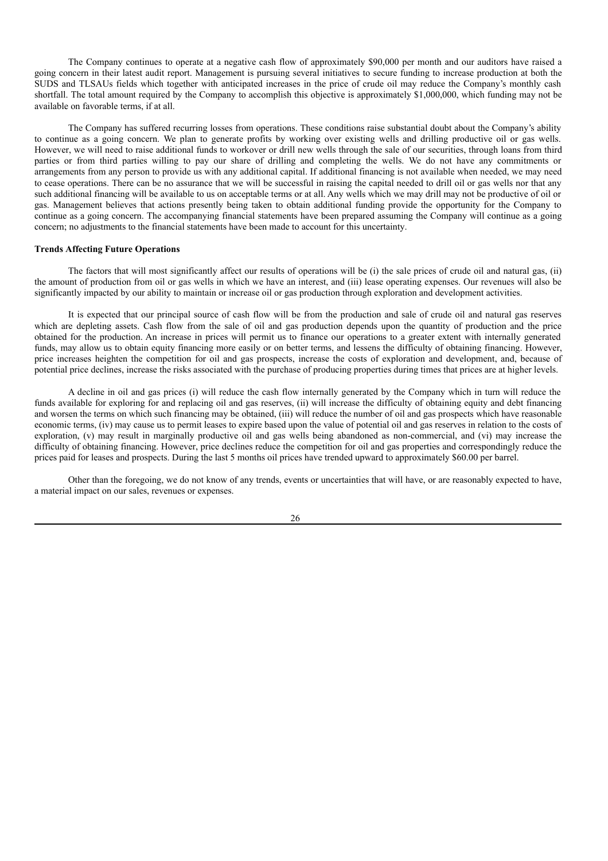The Company continues to operate at a negative cash flow of approximately \$90,000 per month and our auditors have raised a going concern in their latest audit report. Management is pursuing several initiatives to secure funding to increase production at both the SUDS and TLSAUs fields which together with anticipated increases in the price of crude oil may reduce the Company's monthly cash shortfall. The total amount required by the Company to accomplish this objective is approximately \$1,000,000, which funding may not be available on favorable terms, if at all.

The Company has suffered recurring losses from operations. These conditions raise substantial doubt about the Company's ability to continue as a going concern. We plan to generate profits by working over existing wells and drilling productive oil or gas wells. However, we will need to raise additional funds to workover or drill new wells through the sale of our securities, through loans from third parties or from third parties willing to pay our share of drilling and completing the wells. We do not have any commitments or arrangements from any person to provide us with any additional capital. If additional financing is not available when needed, we may need to cease operations. There can be no assurance that we will be successful in raising the capital needed to drill oil or gas wells nor that any such additional financing will be available to us on acceptable terms or at all. Any wells which we may drill may not be productive of oil or gas. Management believes that actions presently being taken to obtain additional funding provide the opportunity for the Company to continue as a going concern. The accompanying financial statements have been prepared assuming the Company will continue as a going concern; no adjustments to the financial statements have been made to account for this uncertainty.

#### **Trends Affecting Future Operations**

The factors that will most significantly affect our results of operations will be (i) the sale prices of crude oil and natural gas, (ii) the amount of production from oil or gas wells in which we have an interest, and (iii) lease operating expenses. Our revenues will also be significantly impacted by our ability to maintain or increase oil or gas production through exploration and development activities.

It is expected that our principal source of cash flow will be from the production and sale of crude oil and natural gas reserves which are depleting assets. Cash flow from the sale of oil and gas production depends upon the quantity of production and the price obtained for the production. An increase in prices will permit us to finance our operations to a greater extent with internally generated funds, may allow us to obtain equity financing more easily or on better terms, and lessens the difficulty of obtaining financing. However, price increases heighten the competition for oil and gas prospects, increase the costs of exploration and development, and, because of potential price declines, increase the risks associated with the purchase of producing properties during times that prices are at higher levels.

A decline in oil and gas prices (i) will reduce the cash flow internally generated by the Company which in turn will reduce the funds available for exploring for and replacing oil and gas reserves, (ii) will increase the difficulty of obtaining equity and debt financing and worsen the terms on which such financing may be obtained, (iii) will reduce the number of oil and gas prospects which have reasonable economic terms, (iv) may cause us to permit leases to expire based upon the value of potential oil and gas reserves in relation to the costs of exploration, (v) may result in marginally productive oil and gas wells being abandoned as non-commercial, and (vi) may increase the difficulty of obtaining financing. However, price declines reduce the competition for oil and gas properties and correspondingly reduce the prices paid for leases and prospects. During the last 5 months oil prices have trended upward to approximately \$60.00 per barrel.

Other than the foregoing, we do not know of any trends, events or uncertainties that will have, or are reasonably expected to have, a material impact on our sales, revenues or expenses.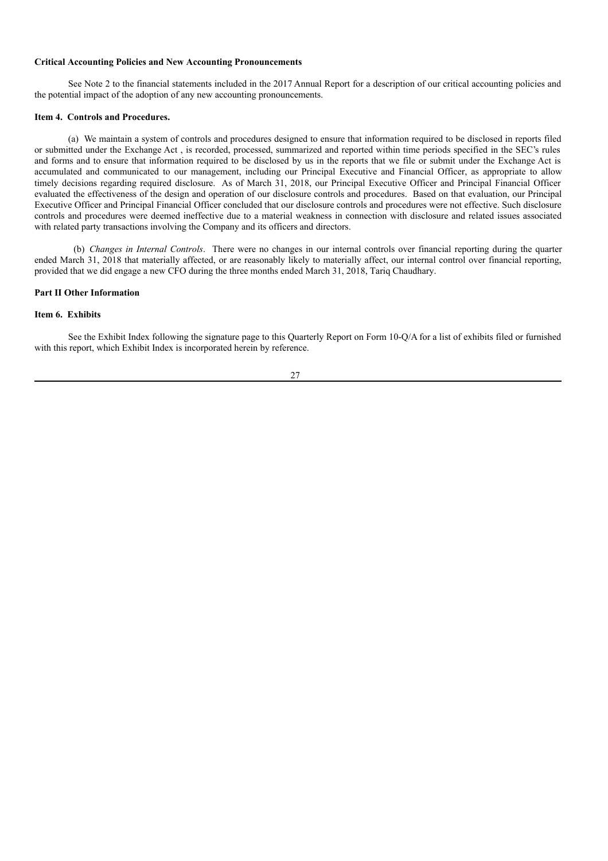#### **Critical Accounting Policies and New Accounting Pronouncements**

See Note 2 to the financial statements included in the 2017 Annual Report for a description of our critical accounting policies and the potential impact of the adoption of any new accounting pronouncements.

#### **Item 4. Controls and Procedures.**

(a) We maintain a system of controls and procedures designed to ensure that information required to be disclosed in reports filed or submitted under the Exchange Act , is recorded, processed, summarized and reported within time periods specified in the SEC's rules and forms and to ensure that information required to be disclosed by us in the reports that we file or submit under the Exchange Act is accumulated and communicated to our management, including our Principal Executive and Financial Officer, as appropriate to allow timely decisions regarding required disclosure. As of March 31, 2018, our Principal Executive Officer and Principal Financial Officer evaluated the effectiveness of the design and operation of our disclosure controls and procedures. Based on that evaluation, our Principal Executive Officer and Principal Financial Officer concluded that our disclosure controls and procedures were not effective. Such disclosure controls and procedures were deemed ineffective due to a material weakness in connection with disclosure and related issues associated with related party transactions involving the Company and its officers and directors.

(b) *Changes in Internal Controls*. There were no changes in our internal controls over financial reporting during the quarter ended March 31, 2018 that materially affected, or are reasonably likely to materially affect, our internal control over financial reporting, provided that we did engage a new CFO during the three months ended March 31, 2018, Tariq Chaudhary.

#### **Part II Other Information**

#### **Item 6. Exhibits**

See the Exhibit Index following the signature page to this Quarterly Report on Form 10-Q/A for a list of exhibits filed or furnished with this report, which Exhibit Index is incorporated herein by reference.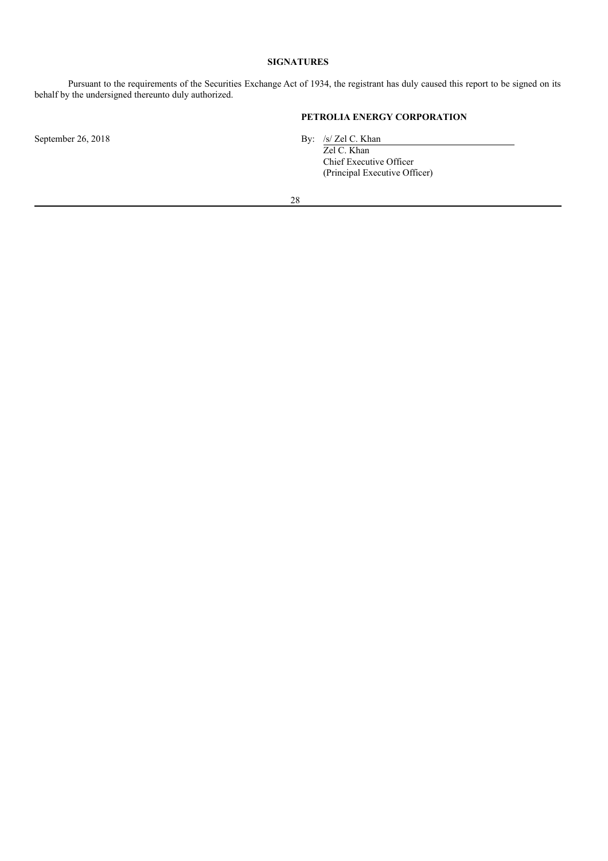## **SIGNATURES**

Pursuant to the requirements of the Securities Exchange Act of 1934, the registrant has duly caused this report to be signed on its behalf by the undersigned thereunto duly authorized.

**PETROLIA ENERGY CORPORATION**

Zel C. Khan Chief Executive Officer (Principal Executive Officer)

28

September 26, 2018 By: /s/ Zel C. Khan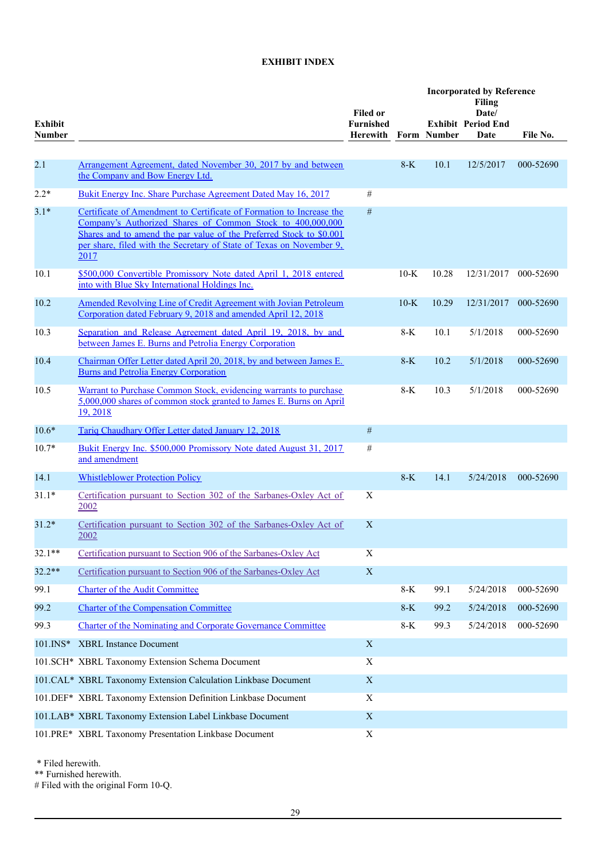## **EXHIBIT INDEX**

|                          |                                                                                                                                                                                                                                                                                           |                                     |        | <b>Incorporated by Reference</b><br><b>Filing</b> |                                   |           |
|--------------------------|-------------------------------------------------------------------------------------------------------------------------------------------------------------------------------------------------------------------------------------------------------------------------------------------|-------------------------------------|--------|---------------------------------------------------|-----------------------------------|-----------|
|                          |                                                                                                                                                                                                                                                                                           | <b>Filed or</b>                     |        |                                                   | Date/                             |           |
| Exhibit<br><b>Number</b> |                                                                                                                                                                                                                                                                                           | <b>Furnished</b><br><b>Herewith</b> |        | Form Number                                       | <b>Exhibit Period End</b><br>Date | File No.  |
|                          |                                                                                                                                                                                                                                                                                           |                                     |        |                                                   |                                   |           |
| 2.1                      | Arrangement Agreement, dated November 30, 2017 by and between<br>the Company and Bow Energy Ltd.                                                                                                                                                                                          |                                     | $8-K$  | 10.1                                              | 12/5/2017                         | 000-52690 |
| $2.2*$                   | Bukit Energy Inc. Share Purchase Agreement Dated May 16, 2017                                                                                                                                                                                                                             | #                                   |        |                                                   |                                   |           |
| $3.1*$                   | Certificate of Amendment to Certificate of Formation to Increase the<br>Company's Authorized Shares of Common Stock to 400,000,000<br>Shares and to amend the par value of the Preferred Stock to \$0.001<br>per share, filed with the Secretary of State of Texas on November 9,<br>2017 | #                                   |        |                                                   |                                   |           |
| 10.1                     | \$500,000 Convertible Promissory Note dated April 1, 2018 entered<br>into with Blue Sky International Holdings Inc.                                                                                                                                                                       |                                     | $10-K$ | 10.28                                             | 12/31/2017                        | 000-52690 |
| 10.2                     | <b>Amended Revolving Line of Credit Agreement with Jovian Petroleum</b><br>Corporation dated February 9, 2018 and amended April 12, 2018                                                                                                                                                  |                                     | $10-K$ | 10.29                                             | 12/31/2017                        | 000-52690 |
| 10.3                     | Separation and Release Agreement dated April 19, 2018, by and<br>between James E. Burns and Petrolia Energy Corporation                                                                                                                                                                   |                                     | $8-K$  | 10.1                                              | 5/1/2018                          | 000-52690 |
| 10.4                     | Chairman Offer Letter dated April 20, 2018, by and between James E.<br><b>Burns and Petrolia Energy Corporation</b>                                                                                                                                                                       |                                     | $8-K$  | 10.2                                              | 5/1/2018                          | 000-52690 |
| 10.5                     | Warrant to Purchase Common Stock, evidencing warrants to purchase<br>5,000,000 shares of common stock granted to James E. Burns on April<br>19, 2018                                                                                                                                      |                                     | $8-K$  | 10.3                                              | 5/1/2018                          | 000-52690 |
| $10.6*$                  | Tariq Chaudhary Offer Letter dated January 12, 2018                                                                                                                                                                                                                                       | $\#$                                |        |                                                   |                                   |           |
| $10.7*$                  | Bukit Energy Inc. \$500,000 Promissory Note dated August 31, 2017<br>and amendment                                                                                                                                                                                                        | $\#$                                |        |                                                   |                                   |           |
| 14.1                     | <b>Whistleblower Protection Policy</b>                                                                                                                                                                                                                                                    |                                     | $8-K$  | 14.1                                              | 5/24/2018                         | 000-52690 |
| $31.1*$                  | Certification pursuant to Section 302 of the Sarbanes-Oxley Act of<br>2002                                                                                                                                                                                                                | X                                   |        |                                                   |                                   |           |
| $31.2*$                  | Certification pursuant to Section 302 of the Sarbanes-Oxley Act of<br>2002                                                                                                                                                                                                                | X                                   |        |                                                   |                                   |           |
| $32.1**$                 | Certification pursuant to Section 906 of the Sarbanes-Oxley Act                                                                                                                                                                                                                           | X                                   |        |                                                   |                                   |           |
| $32.2**$                 | Certification pursuant to Section 906 of the Sarbanes-Oxley Act                                                                                                                                                                                                                           | X                                   |        |                                                   |                                   |           |
| 99.1                     | <b>Charter of the Audit Committee</b>                                                                                                                                                                                                                                                     |                                     | 8-K    | 99.1                                              | 5/24/2018                         | 000-52690 |
| 99.2                     | <b>Charter of the Compensation Committee</b>                                                                                                                                                                                                                                              |                                     | $8-K$  | 99.2                                              | 5/24/2018                         | 000-52690 |
| 99.3                     | <b>Charter of the Nominating and Corporate Governance Committee</b>                                                                                                                                                                                                                       |                                     | 8-K    | 99.3                                              | 5/24/2018                         | 000-52690 |
| $101.$ INS*              | <b>XBRL</b> Instance Document                                                                                                                                                                                                                                                             | X                                   |        |                                                   |                                   |           |
|                          | 101.SCH* XBRL Taxonomy Extension Schema Document                                                                                                                                                                                                                                          | X                                   |        |                                                   |                                   |           |
|                          | 101.CAL* XBRL Taxonomy Extension Calculation Linkbase Document                                                                                                                                                                                                                            | X                                   |        |                                                   |                                   |           |
|                          | 101.DEF* XBRL Taxonomy Extension Definition Linkbase Document                                                                                                                                                                                                                             | $\mathbf X$                         |        |                                                   |                                   |           |
|                          | 101.LAB* XBRL Taxonomy Extension Label Linkbase Document                                                                                                                                                                                                                                  | X                                   |        |                                                   |                                   |           |
|                          | 101.PRE* XBRL Taxonomy Presentation Linkbase Document                                                                                                                                                                                                                                     | X                                   |        |                                                   |                                   |           |

\* Filed herewith.

\*\* Furnished herewith.

# Filed with the original Form 10-Q.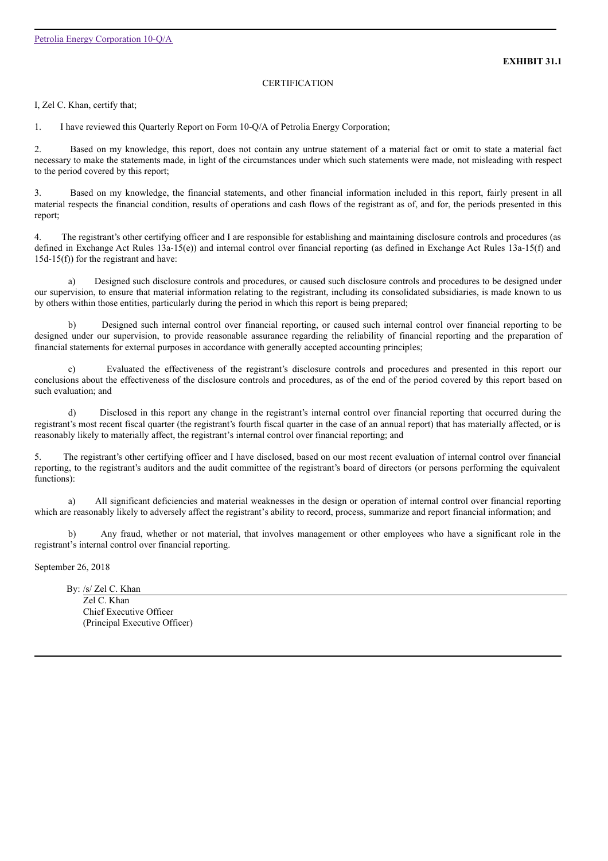## **CERTIFICATION**

I, Zel C. Khan, certify that;

1. I have reviewed this Quarterly Report on Form 10-Q/A of Petrolia Energy Corporation;

2. Based on my knowledge, this report, does not contain any untrue statement of a material fact or omit to state a material fact necessary to make the statements made, in light of the circumstances under which such statements were made, not misleading with respect to the period covered by this report;

3. Based on my knowledge, the financial statements, and other financial information included in this report, fairly present in all material respects the financial condition, results of operations and cash flows of the registrant as of, and for, the periods presented in this report;

4. The registrant's other certifying officer and I are responsible for establishing and maintaining disclosure controls and procedures (as defined in Exchange Act Rules 13a-15(e)) and internal control over financial reporting (as defined in Exchange Act Rules 13a-15(f) and 15d-15(f)) for the registrant and have:

a) Designed such disclosure controls and procedures, or caused such disclosure controls and procedures to be designed under our supervision, to ensure that material information relating to the registrant, including its consolidated subsidiaries, is made known to us by others within those entities, particularly during the period in which this report is being prepared;

b) Designed such internal control over financial reporting, or caused such internal control over financial reporting to be designed under our supervision, to provide reasonable assurance regarding the reliability of financial reporting and the preparation of financial statements for external purposes in accordance with generally accepted accounting principles;

c) Evaluated the effectiveness of the registrant's disclosure controls and procedures and presented in this report our conclusions about the effectiveness of the disclosure controls and procedures, as of the end of the period covered by this report based on such evaluation; and

Disclosed in this report any change in the registrant's internal control over financial reporting that occurred during the registrant's most recent fiscal quarter (the registrant's fourth fiscal quarter in the case of an annual report) that has materially affected, or is reasonably likely to materially affect, the registrant's internal control over financial reporting; and

5. The registrant's other certifying officer and I have disclosed, based on our most recent evaluation of internal control over financial reporting, to the registrant's auditors and the audit committee of the registrant's board of directors (or persons performing the equivalent functions):

a) All significant deficiencies and material weaknesses in the design or operation of internal control over financial reporting which are reasonably likely to adversely affect the registrant's ability to record, process, summarize and report financial information; and

b) Any fraud, whether or not material, that involves management or other employees who have a significant role in the registrant's internal control over financial reporting.

September 26, 2018

By: /s/ Zel C. Khan Zel C. Khan Chief Executive Officer (Principal Executive Officer)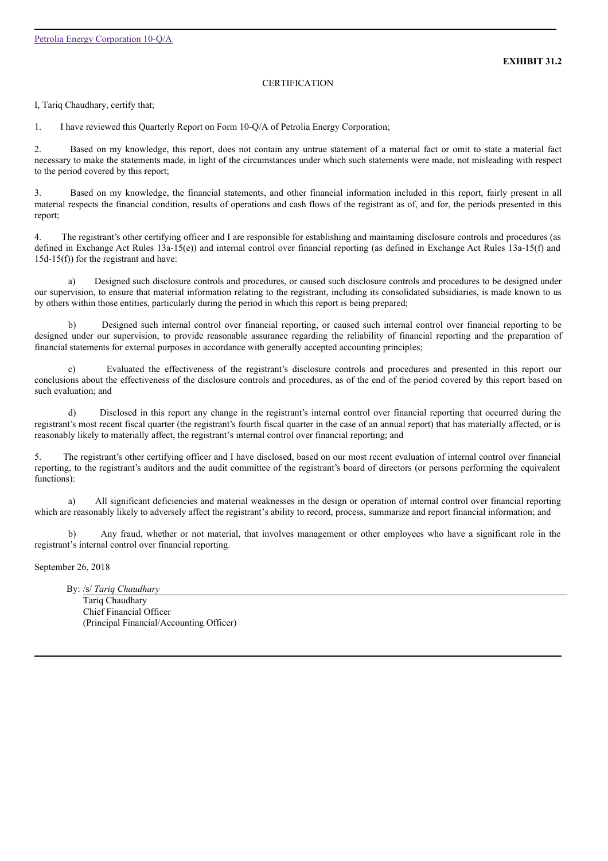## **CERTIFICATION**

I, Tariq Chaudhary, certify that;

1. I have reviewed this Quarterly Report on Form 10-Q/A of Petrolia Energy Corporation;

2. Based on my knowledge, this report, does not contain any untrue statement of a material fact or omit to state a material fact necessary to make the statements made, in light of the circumstances under which such statements were made, not misleading with respect to the period covered by this report;

3. Based on my knowledge, the financial statements, and other financial information included in this report, fairly present in all material respects the financial condition, results of operations and cash flows of the registrant as of, and for, the periods presented in this report;

4. The registrant's other certifying officer and I are responsible for establishing and maintaining disclosure controls and procedures (as defined in Exchange Act Rules 13a-15(e)) and internal control over financial reporting (as defined in Exchange Act Rules 13a-15(f) and 15d-15(f)) for the registrant and have:

a) Designed such disclosure controls and procedures, or caused such disclosure controls and procedures to be designed under our supervision, to ensure that material information relating to the registrant, including its consolidated subsidiaries, is made known to us by others within those entities, particularly during the period in which this report is being prepared;

b) Designed such internal control over financial reporting, or caused such internal control over financial reporting to be designed under our supervision, to provide reasonable assurance regarding the reliability of financial reporting and the preparation of financial statements for external purposes in accordance with generally accepted accounting principles;

c) Evaluated the effectiveness of the registrant's disclosure controls and procedures and presented in this report our conclusions about the effectiveness of the disclosure controls and procedures, as of the end of the period covered by this report based on such evaluation; and

d) Disclosed in this report any change in the registrant's internal control over financial reporting that occurred during the registrant's most recent fiscal quarter (the registrant's fourth fiscal quarter in the case of an annual report) that has materially affected, or is reasonably likely to materially affect, the registrant's internal control over financial reporting; and

5. The registrant's other certifying officer and I have disclosed, based on our most recent evaluation of internal control over financial reporting, to the registrant's auditors and the audit committee of the registrant's board of directors (or persons performing the equivalent functions):

a) All significant deficiencies and material weaknesses in the design or operation of internal control over financial reporting which are reasonably likely to adversely affect the registrant's ability to record, process, summarize and report financial information; and

b) Any fraud, whether or not material, that involves management or other employees who have a significant role in the registrant's internal control over financial reporting.

September 26, 2018

By: /s/ *Tariq Chaudhary* Tariq Chaudhary Chief Financial Officer (Principal Financial/Accounting Officer)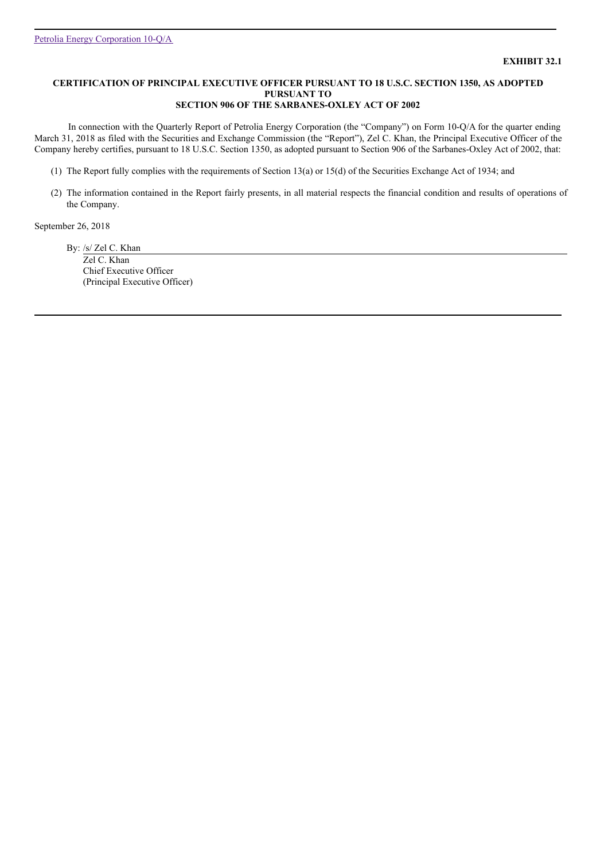#### **CERTIFICATION OF PRINCIPAL EXECUTIVE OFFICER PURSUANT TO 18 U.S.C. SECTION 1350, AS ADOPTED PURSUANT TO SECTION 906 OF THE SARBANES-OXLEY ACT OF 2002**

In connection with the Quarterly Report of Petrolia Energy Corporation (the "Company") on Form 10-Q/A for the quarter ending March 31, 2018 as filed with the Securities and Exchange Commission (the "Report"), Zel C. Khan, the Principal Executive Officer of the Company hereby certifies, pursuant to 18 U.S.C. Section 1350, as adopted pursuant to Section 906 of the Sarbanes-Oxley Act of 2002, that:

- (1) The Report fully complies with the requirements of Section 13(a) or 15(d) of the Securities Exchange Act of 1934; and
- (2) The information contained in the Report fairly presents, in all material respects the financial condition and results of operations of the Company.

September 26, 2018

By: /s/ Zel C. Khan

Zel C. Khan Chief Executive Officer (Principal Executive Officer)